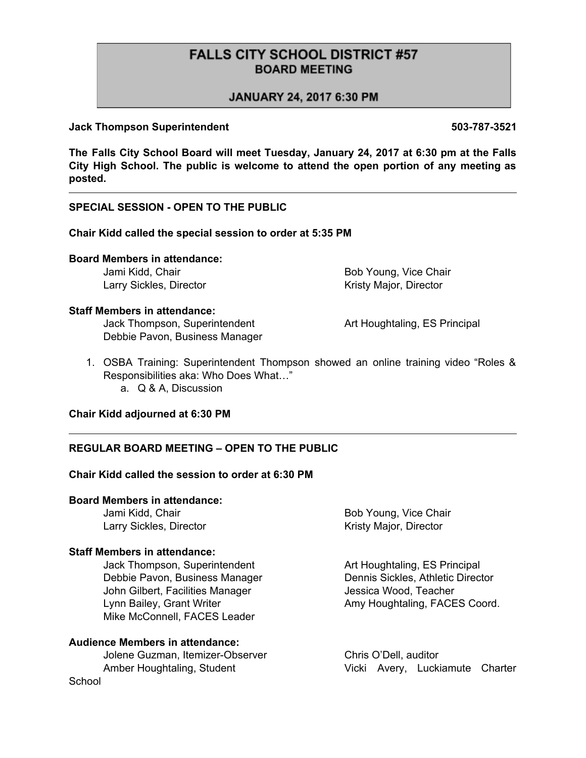# **FALLS CITY SCHOOL DISTRICT #57 BOARD MEETING**

# JANUARY 24, 2017 6:30 PM

#### **Jack Thompson Superintendent 503-787-3521**

**The Falls City School Board will meet Tuesday, January 24, 2017 at 6:30 pm at the Falls City High School. The public is welcome to attend the open portion of any meeting as posted.**

# **SPECIAL SESSION - OPEN TO THE PUBLIC**

#### **Chair Kidd called the special session to order at 5:35 PM**

# **Board Members in attendance:**

Larry Sickles, Director **Kristy Major, Director** Kristy Major, Director

Jami Kidd, Chair **Bob Young, Vice Chair** Bob Young, Vice Chair

# **Staff Members in attendance:**

Jack Thompson, Superintendent **Art Houghtaling, ES Principal** Debbie Pavon, Business Manager

- 1. OSBA Training: Superintendent Thompson showed an online training video "Roles & Responsibilities aka: Who Does What…"
	- a. Q & A, Discussion

#### **Chair Kidd adjourned at 6:30 PM**

#### **REGULAR BOARD MEETING – OPEN TO THE PUBLIC**

# **Chair Kidd called the session to order at 6:30 PM**

# **Board Members in attendance:**

Larry Sickles, Director **Exercise 2** Kristy Major, Director

#### **Staff Members in attendance:**

Jack Thompson, Superintendent **Art Houghtaling, ES Principal** Debbie Pavon, Business Manager Dennis Sickles, Athletic Director John Gilbert, Facilities Manager **Jessica Wood, Teacher** Lynn Bailey, Grant Writer **Amy Houghtaling, FACES Coord.** Mike McConnell, FACES Leader

#### **Audience Members in attendance:**

Jolene Guzman, Itemizer-Observer Chris O'Dell, auditor **School** 

Jami Kidd, Chair **Bob Young, Vice Chair** Bob Young, Vice Chair

Amber Houghtaling, Student Vicki Avery, Luckiamute Charter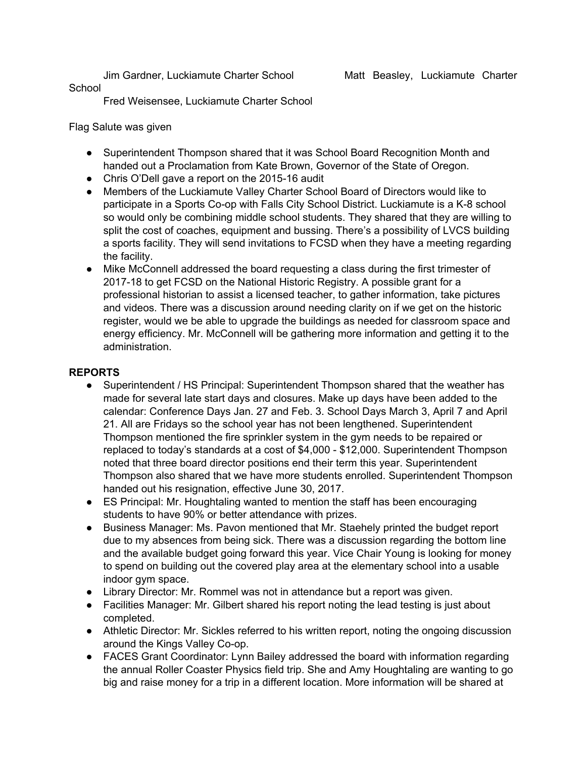Jim Gardner, Luckiamute Charter School Matt Beasley, Luckiamute Charter

#### School

Fred Weisensee, Luckiamute Charter School

Flag Salute was given

- Superintendent Thompson shared that it was School Board Recognition Month and handed out a Proclamation from Kate Brown, Governor of the State of Oregon.
- Chris O'Dell gave a report on the 2015-16 audit
- Members of the Luckiamute Valley Charter School Board of Directors would like to participate in a Sports Co-op with Falls City School District. Luckiamute is a K-8 school so would only be combining middle school students. They shared that they are willing to split the cost of coaches, equipment and bussing. There's a possibility of LVCS building a sports facility. They will send invitations to FCSD when they have a meeting regarding the facility.
- Mike McConnell addressed the board requesting a class during the first trimester of 2017-18 to get FCSD on the National Historic Registry. A possible grant for a professional historian to assist a licensed teacher, to gather information, take pictures and videos. There was a discussion around needing clarity on if we get on the historic register, would we be able to upgrade the buildings as needed for classroom space and energy efficiency. Mr. McConnell will be gathering more information and getting it to the administration.

#### **REPORTS**

- Superintendent / HS Principal: Superintendent Thompson shared that the weather has made for several late start days and closures. Make up days have been added to the calendar: Conference Days Jan. 27 and Feb. 3. School Days March 3, April 7 and April 21. All are Fridays so the school year has not been lengthened. Superintendent Thompson mentioned the fire sprinkler system in the gym needs to be repaired or replaced to today's standards at a cost of \$4,000 - \$12,000. Superintendent Thompson noted that three board director positions end their term this year. Superintendent Thompson also shared that we have more students enrolled. Superintendent Thompson handed out his resignation, effective June 30, 2017.
- ES Principal: Mr. Houghtaling wanted to mention the staff has been encouraging students to have 90% or better attendance with prizes.
- Business Manager: Ms. Pavon mentioned that Mr. Staehely printed the budget report due to my absences from being sick. There was a discussion regarding the bottom line and the available budget going forward this year. Vice Chair Young is looking for money to spend on building out the covered play area at the elementary school into a usable indoor gym space.
- Library Director: Mr. Rommel was not in attendance but a report was given.
- Facilities Manager: Mr. Gilbert shared his report noting the lead testing is just about completed.
- Athletic Director: Mr. Sickles referred to his written report, noting the ongoing discussion around the Kings Valley Co-op.
- FACES Grant Coordinator: Lynn Bailey addressed the board with information regarding the annual Roller Coaster Physics field trip. She and Amy Houghtaling are wanting to go big and raise money for a trip in a different location. More information will be shared at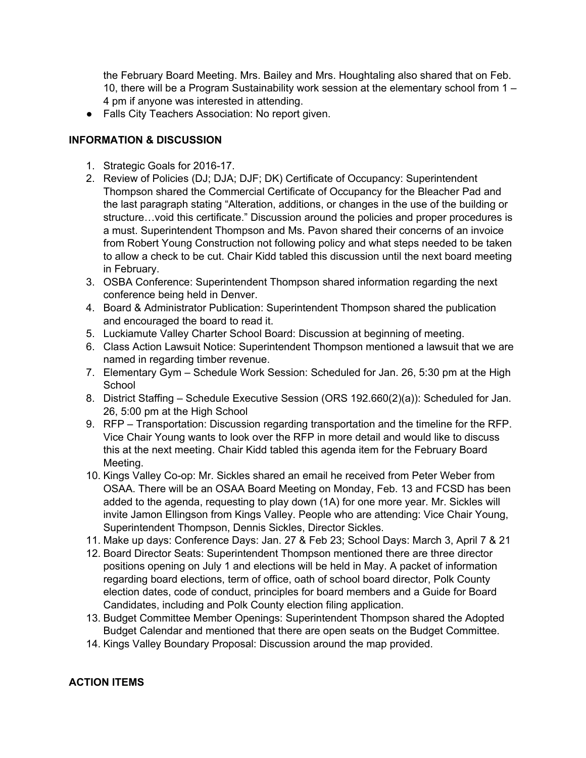the February Board Meeting. Mrs. Bailey and Mrs. Houghtaling also shared that on Feb. 10, there will be a Program Sustainability work session at the elementary school from 1 – 4 pm if anyone was interested in attending.

● Falls City Teachers Association: No report given.

# **INFORMATION & DISCUSSION**

- 1. Strategic Goals for 2016-17.
- 2. Review of Policies (DJ; DJA; DJF; DK) Certificate of Occupancy: Superintendent Thompson shared the Commercial Certificate of Occupancy for the Bleacher Pad and the last paragraph stating "Alteration, additions, or changes in the use of the building or structure…void this certificate." Discussion around the policies and proper procedures is a must. Superintendent Thompson and Ms. Pavon shared their concerns of an invoice from Robert Young Construction not following policy and what steps needed to be taken to allow a check to be cut. Chair Kidd tabled this discussion until the next board meeting in February.
- 3. OSBA Conference: Superintendent Thompson shared information regarding the next conference being held in Denver.
- 4. Board & Administrator Publication: Superintendent Thompson shared the publication and encouraged the board to read it.
- 5. Luckiamute Valley Charter School Board: Discussion at beginning of meeting.
- 6. Class Action Lawsuit Notice: Superintendent Thompson mentioned a lawsuit that we are named in regarding timber revenue.
- 7. Elementary Gym Schedule Work Session: Scheduled for Jan. 26, 5:30 pm at the High **School**
- 8. District Staffing Schedule Executive Session (ORS 192.660(2)(a)): Scheduled for Jan. 26, 5:00 pm at the High School
- 9. RFP Transportation: Discussion regarding transportation and the timeline for the RFP. Vice Chair Young wants to look over the RFP in more detail and would like to discuss this at the next meeting. Chair Kidd tabled this agenda item for the February Board Meeting.
- 10. Kings Valley Co-op: Mr. Sickles shared an email he received from Peter Weber from OSAA. There will be an OSAA Board Meeting on Monday, Feb. 13 and FCSD has been added to the agenda, requesting to play down (1A) for one more year. Mr. Sickles will invite Jamon Ellingson from Kings Valley. People who are attending: Vice Chair Young, Superintendent Thompson, Dennis Sickles, Director Sickles.
- 11. Make up days: Conference Days: Jan. 27 & Feb 23; School Days: March 3, April 7 & 21
- 12. Board Director Seats: Superintendent Thompson mentioned there are three director positions opening on July 1 and elections will be held in May. A packet of information regarding board elections, term of office, oath of school board director, Polk County election dates, code of conduct, principles for board members and a Guide for Board Candidates, including and Polk County election filing application.
- 13. Budget Committee Member Openings: Superintendent Thompson shared the Adopted Budget Calendar and mentioned that there are open seats on the Budget Committee.
- 14. Kings Valley Boundary Proposal: Discussion around the map provided.

#### **ACTION ITEMS**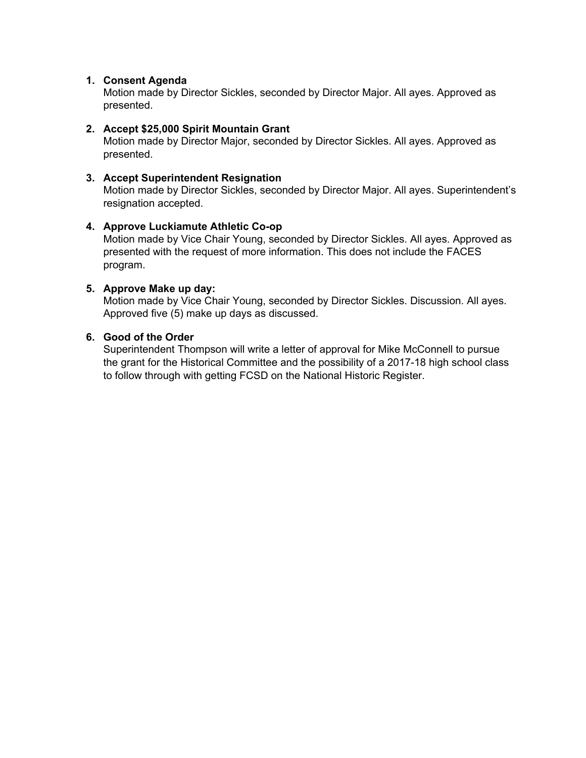#### **1. Consent Agenda**

Motion made by Director Sickles, seconded by Director Major. All ayes. Approved as presented.

#### **2. Accept \$25,000 Spirit Mountain Grant**

Motion made by Director Major, seconded by Director Sickles. All ayes. Approved as presented.

#### **3. Accept Superintendent Resignation**

Motion made by Director Sickles, seconded by Director Major. All ayes. Superintendent's resignation accepted.

#### **4. Approve Luckiamute Athletic Co-op**

Motion made by Vice Chair Young, seconded by Director Sickles. All ayes. Approved as presented with the request of more information. This does not include the FACES program.

#### **5. Approve Make up day:**

Motion made by Vice Chair Young, seconded by Director Sickles. Discussion. All ayes. Approved five (5) make up days as discussed.

#### **6. Good of the Order**

Superintendent Thompson will write a letter of approval for Mike McConnell to pursue the grant for the Historical Committee and the possibility of a 2017-18 high school class to follow through with getting FCSD on the National Historic Register.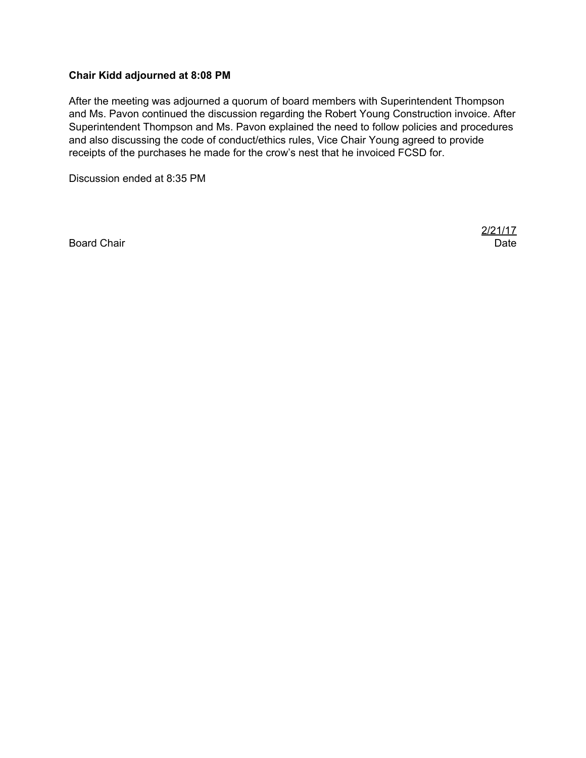#### **Chair Kidd adjourned at 8:08 PM**

After the meeting was adjourned a quorum of board members with Superintendent Thompson and Ms. Pavon continued the discussion regarding the Robert Young Construction invoice. After Superintendent Thompson and Ms. Pavon explained the need to follow policies and procedures and also discussing the code of conduct/ethics rules, Vice Chair Young agreed to provide receipts of the purchases he made for the crow's nest that he invoiced FCSD for.

Discussion ended at 8:35 PM

Board Chair **Date of the Chair Chair Chair Chair Chair Chair Chair Chair Chair Chair Chair Chair Chair Chair Chair Chair Chair Chair Chair Chair Chair Chair Chair Chair Chair Chair Chair Chair Chair Chair Chair Chair Chair** 

2/21/17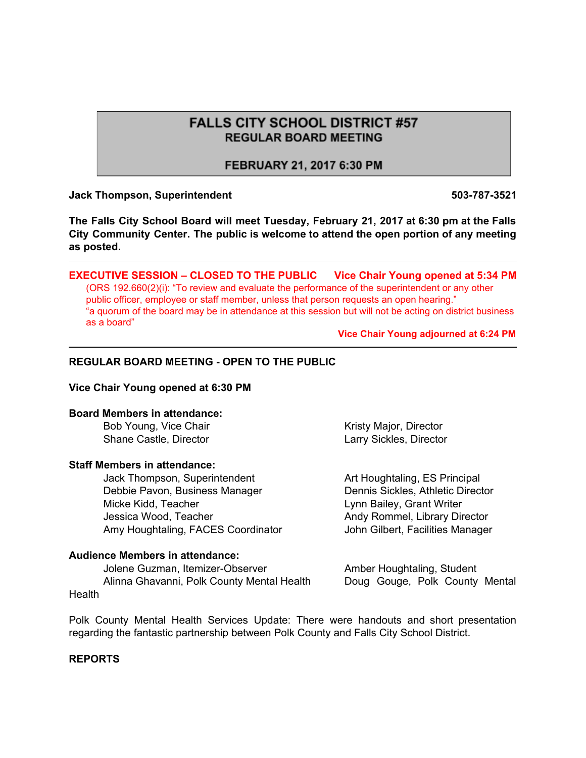# **FALLS CITY SCHOOL DISTRICT #57 REGULAR BOARD MEETING**

### FEBRUARY 21, 2017 6:30 PM

#### **Jack Thompson, Superintendent 503-787-3521**

**The Falls City School Board will meet Tuesday, February 21, 2017 at 6:30 pm at the Falls City Community Center. The public is welcome to attend the open portion of any meeting as posted.**

**EXECUTIVE SESSION – CLOSED TO THE PUBLIC Vice Chair Young opened at 5:34 PM** (ORS 192.660(2)(i): "To review and evaluate the performance of the superintendent or any other public officer, employee or staff member, unless that person requests an open hearing." "a quorum of the board may be in attendance at this session but will not be acting on district business as a board"

**Vice Chair Young adjourned at 6:24 PM**

#### **REGULAR BOARD MEETING - OPEN TO THE PUBLIC**

#### **Vice Chair Young opened at 6:30 PM**

#### **Board Members in attendance:**

#### **Staff Members in attendance:**

Jack Thompson, Superintendent **Art Houghtaling, ES Principal** Debbie Pavon, Business Manager **Dennis Sickles, Athletic Director** Micke Kidd, Teacher **Lynn Bailey, Grant Writer** Lynn Bailey, Grant Writer Jessica Wood, Teacher **Andy Rommel, Library Director** Andy Rommel, Library Director Amy Houghtaling, FACES Coordinator **John Gilbert, Facilities Manager** 

#### **Audience Members in attendance:**

Jolene Guzman, Itemizer-Observer **Amber Houghtaling, Student** Alinna Ghavanni, Polk County Mental Health Doug Gouge, Polk County Mental **Health** 

Bob Young, Vice Chair North Chair Kristy Major, Director Shane Castle, Director **Larry Sickles**, Director

Polk County Mental Health Services Update: There were handouts and short presentation regarding the fantastic partnership between Polk County and Falls City School District.

#### **REPORTS**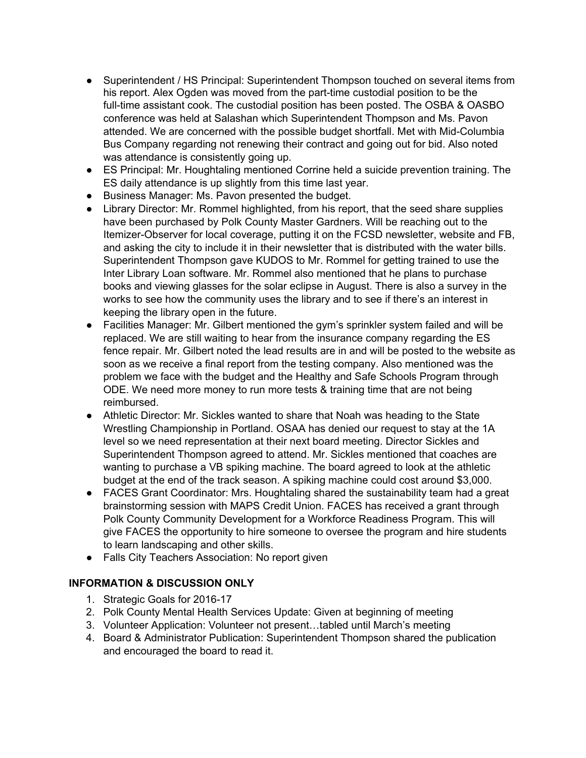- Superintendent / HS Principal: Superintendent Thompson touched on several items from his report. Alex Ogden was moved from the part-time custodial position to be the full-time assistant cook. The custodial position has been posted. The OSBA & OASBO conference was held at Salashan which Superintendent Thompson and Ms. Pavon attended. We are concerned with the possible budget shortfall. Met with Mid-Columbia Bus Company regarding not renewing their contract and going out for bid. Also noted was attendance is consistently going up.
- ES Principal: Mr. Houghtaling mentioned Corrine held a suicide prevention training. The ES daily attendance is up slightly from this time last year.
- Business Manager: Ms. Pavon presented the budget.
- Library Director: Mr. Rommel highlighted, from his report, that the seed share supplies have been purchased by Polk County Master Gardners. Will be reaching out to the Itemizer-Observer for local coverage, putting it on the FCSD newsletter, website and FB, and asking the city to include it in their newsletter that is distributed with the water bills. Superintendent Thompson gave KUDOS to Mr. Rommel for getting trained to use the Inter Library Loan software. Mr. Rommel also mentioned that he plans to purchase books and viewing glasses for the solar eclipse in August. There is also a survey in the works to see how the community uses the library and to see if there's an interest in keeping the library open in the future.
- Facilities Manager: Mr. Gilbert mentioned the gym's sprinkler system failed and will be replaced. We are still waiting to hear from the insurance company regarding the ES fence repair. Mr. Gilbert noted the lead results are in and will be posted to the website as soon as we receive a final report from the testing company. Also mentioned was the problem we face with the budget and the Healthy and Safe Schools Program through ODE. We need more money to run more tests & training time that are not being reimbursed.
- Athletic Director: Mr. Sickles wanted to share that Noah was heading to the State Wrestling Championship in Portland. OSAA has denied our request to stay at the 1A level so we need representation at their next board meeting. Director Sickles and Superintendent Thompson agreed to attend. Mr. Sickles mentioned that coaches are wanting to purchase a VB spiking machine. The board agreed to look at the athletic budget at the end of the track season. A spiking machine could cost around \$3,000.
- FACES Grant Coordinator: Mrs. Houghtaling shared the sustainability team had a great brainstorming session with MAPS Credit Union. FACES has received a grant through Polk County Community Development for a Workforce Readiness Program. This will give FACES the opportunity to hire someone to oversee the program and hire students to learn landscaping and other skills.
- Falls City Teachers Association: No report given

#### **INFORMATION & DISCUSSION ONLY**

- 1. Strategic Goals for 2016-17
- 2. Polk County Mental Health Services Update: Given at beginning of meeting
- 3. Volunteer Application: Volunteer not present…tabled until March's meeting
- 4. Board & Administrator Publication: Superintendent Thompson shared the publication and encouraged the board to read it.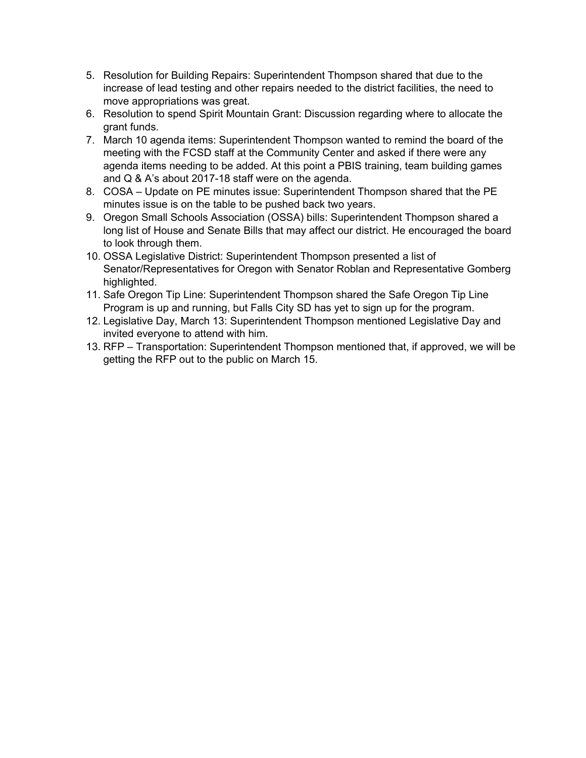- 5. Resolution for Building Repairs: Superintendent Thompson shared that due to the increase of lead testing and other repairs needed to the district facilities, the need to move appropriations was great.
- 6. Resolution to spend Spirit Mountain Grant: Discussion regarding where to allocate the grant funds.
- 7. March 10 agenda items: Superintendent Thompson wanted to remind the board of the meeting with the FCSD staff at the Community Center and asked if there were any agenda items needing to be added. At this point a PBIS training, team building games and Q & A's about 2017-18 staff were on the agenda.
- 8. COSA Update on PE minutes issue: Superintendent Thompson shared that the PE minutes issue is on the table to be pushed back two years.
- 9. Oregon Small Schools Association (OSSA) bills: Superintendent Thompson shared a long list of House and Senate Bills that may affect our district. He encouraged the board to look through them.
- 10. OSSA Legislative District: Superintendent Thompson presented a list of Senator/Representatives for Oregon with Senator Roblan and Representative Gomberg highlighted.
- 11. Safe Oregon Tip Line: Superintendent Thompson shared the Safe Oregon Tip Line Program is up and running, but Falls City SD has yet to sign up for the program.
- 12. Legislative Day, March 13: Superintendent Thompson mentioned Legislative Day and invited everyone to attend with him.
- 13. RFP Transportation: Superintendent Thompson mentioned that, if approved, we will be getting the RFP out to the public on March 15.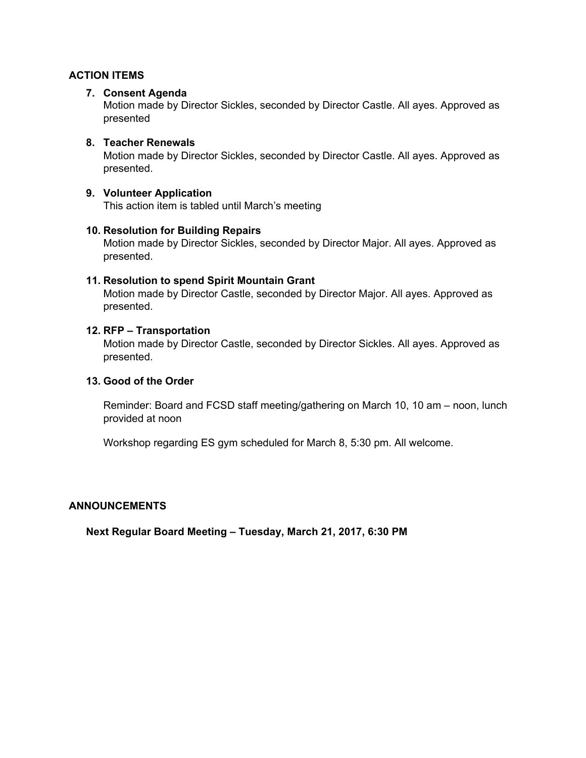#### **ACTION ITEMS**

#### **7. Consent Agenda**

Motion made by Director Sickles, seconded by Director Castle. All ayes. Approved as presented

#### **8. Teacher Renewals**

Motion made by Director Sickles, seconded by Director Castle. All ayes. Approved as presented.

#### **9. Volunteer Application**

This action item is tabled until March's meeting

#### **10. Resolution for Building Repairs**

Motion made by Director Sickles, seconded by Director Major. All ayes. Approved as presented.

#### **11. Resolution to spend Spirit Mountain Grant**

Motion made by Director Castle, seconded by Director Major. All ayes. Approved as presented.

#### **12. RFP – Transportation**

Motion made by Director Castle, seconded by Director Sickles. All ayes. Approved as presented.

#### **13. Good of the Order**

Reminder: Board and FCSD staff meeting/gathering on March 10, 10 am – noon, lunch provided at noon

Workshop regarding ES gym scheduled for March 8, 5:30 pm. All welcome.

#### **ANNOUNCEMENTS**

**Next Regular Board Meeting – Tuesday, March 21, 2017, 6:30 PM**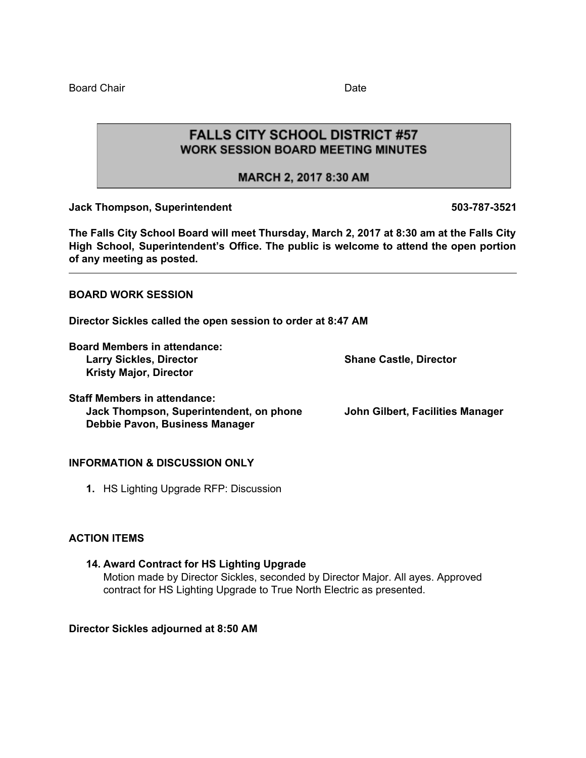Board Chair **Date Date Date** 

**FALLS CITY SCHOOL DISTRICT #57 WORK SESSION BOARD MEETING MINUTES** 

MARCH 2, 2017 8:30 AM

**Jack Thompson, Superintendent 503-787-3521**

**The Falls City School Board will meet Thursday, March 2, 2017 at 8:30 am at the Falls City High School, Superintendent's Office. The public is welcome to attend the open portion of any meeting as posted.**

**BOARD WORK SESSION**

**Director Sickles called the open session to order at 8:47 AM**

**Board Members in attendance: Larry Sickles, Director Shane Castle, Director Kristy Major, Director**

**Staff Members in attendance:**

**Jack Thompson, Superintendent, on phone John Gilbert, Facilities Manager Debbie Pavon, Business Manager**

#### **INFORMATION & DISCUSSION ONLY**

**1.** HS Lighting Upgrade RFP: Discussion

#### **ACTION ITEMS**

**14. Award Contract for HS Lighting Upgrade** Motion made by Director Sickles, seconded by Director Major. All ayes. Approved contract for HS Lighting Upgrade to True North Electric as presented.

**Director Sickles adjourned at 8:50 AM**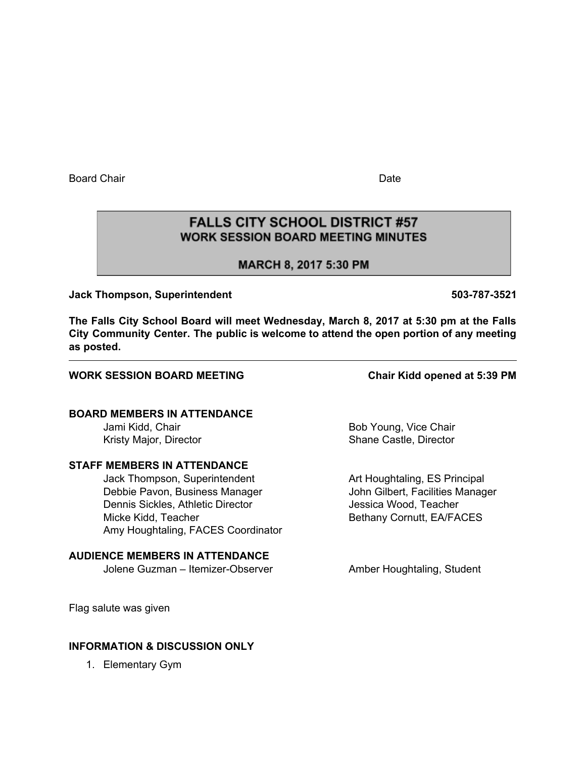Board Chair **Date Date Date Date Date Date** 

# **FALLS CITY SCHOOL DISTRICT #57 WORK SESSION BOARD MEETING MINUTES**

# MARCH 8, 2017 5:30 PM

**Jack Thompson, Superintendent 503-787-3521**

**The Falls City School Board will meet Wednesday, March 8, 2017 at 5:30 pm at the Falls City Community Center. The public is welcome to attend the open portion of any meeting as posted.**

#### **WORK SESSION BOARD MEETING Chair Kidd opened at 5:39 PM**

# **BOARD MEMBERS IN ATTENDANCE**

#### **STAFF MEMBERS IN ATTENDANCE**

Jack Thompson, Superintendent Art Houghtaling, ES Principal Debbie Pavon, Business Manager John Gilbert, Facilities Manager Dennis Sickles, Athletic Director **Conservation Conservation** Jessica Wood, Teacher Micke Kidd, Teacher **Bethany Cornutt, EA/FACES** Amy Houghtaling, FACES Coordinator

#### **AUDIENCE MEMBERS IN ATTENDANCE**

Jolene Guzman – Itemizer-Observer **Amber Houghtaling, Student** 

Jami Kidd, Chair **Bob Young, Vice Chair** Bob Young, Vice Chair Kristy Major, Director **Shane Castle, Director** Shane Castle, Director

Flag salute was given

#### **INFORMATION & DISCUSSION ONLY**

1. Elementary Gym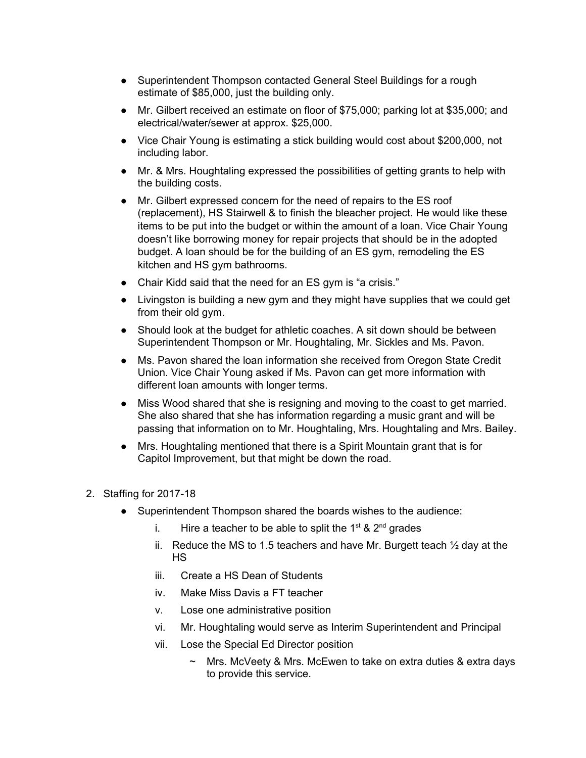- Superintendent Thompson contacted General Steel Buildings for a rough estimate of \$85,000, just the building only.
- Mr. Gilbert received an estimate on floor of \$75,000; parking lot at \$35,000; and electrical/water/sewer at approx. \$25,000.
- Vice Chair Young is estimating a stick building would cost about \$200,000, not including labor.
- Mr. & Mrs. Houghtaling expressed the possibilities of getting grants to help with the building costs.
- Mr. Gilbert expressed concern for the need of repairs to the ES roof (replacement), HS Stairwell & to finish the bleacher project. He would like these items to be put into the budget or within the amount of a loan. Vice Chair Young doesn't like borrowing money for repair projects that should be in the adopted budget. A loan should be for the building of an ES gym, remodeling the ES kitchen and HS gym bathrooms.
- Chair Kidd said that the need for an ES gym is "a crisis."
- Livingston is building a new gym and they might have supplies that we could get from their old gym.
- Should look at the budget for athletic coaches. A sit down should be between Superintendent Thompson or Mr. Houghtaling, Mr. Sickles and Ms. Pavon.
- Ms. Pavon shared the loan information she received from Oregon State Credit Union. Vice Chair Young asked if Ms. Pavon can get more information with different loan amounts with longer terms.
- Miss Wood shared that she is resigning and moving to the coast to get married. She also shared that she has information regarding a music grant and will be passing that information on to Mr. Houghtaling, Mrs. Houghtaling and Mrs. Bailey.
- Mrs. Houghtaling mentioned that there is a Spirit Mountain grant that is for Capitol Improvement, but that might be down the road.

#### 2. Staffing for 2017-18

- Superintendent Thompson shared the boards wishes to the audience:
	- i. Hire a teacher to be able to split the 1<sup>st</sup> & 2<sup>nd</sup> grades
	- ii. Reduce the MS to 1.5 teachers and have Mr. Burgett teach  $\frac{1}{2}$  day at the HS
	- iii. Create a HS Dean of Students
	- iv. Make Miss Davis a FT teacher
	- v. Lose one administrative position
	- vi. Mr. Houghtaling would serve as Interim Superintendent and Principal
	- vii. Lose the Special Ed Director position
		- $\sim$  Mrs. McVeety & Mrs. McEwen to take on extra duties & extra days to provide this service.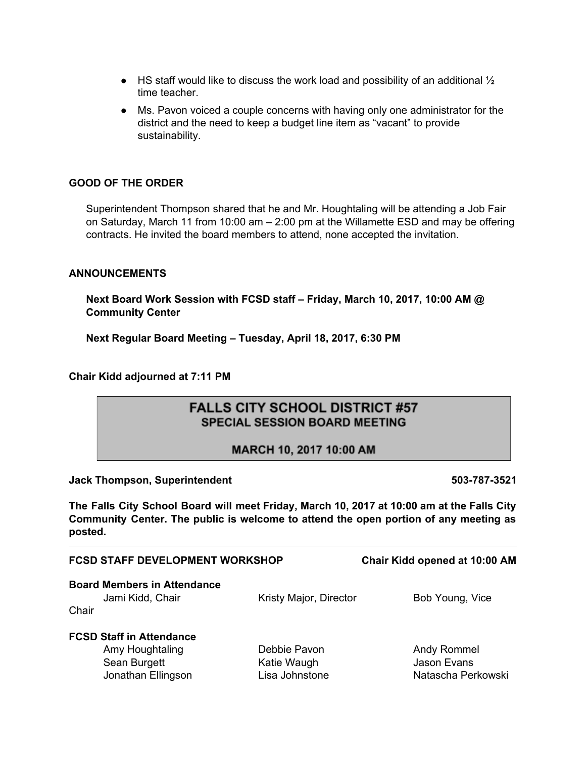- $\bullet$  HS staff would like to discuss the work load and possibility of an additional  $\frac{1}{2}$ time teacher.
- Ms. Pavon voiced a couple concerns with having only one administrator for the district and the need to keep a budget line item as "vacant" to provide sustainability.

#### **GOOD OF THE ORDER**

Superintendent Thompson shared that he and Mr. Houghtaling will be attending a Job Fair on Saturday, March 11 from 10:00 am – 2:00 pm at the Willamette ESD and may be offering contracts. He invited the board members to attend, none accepted the invitation.

#### **ANNOUNCEMENTS**

**Next Board Work Session with FCSD staff – Friday, March 10, 2017, 10:00 AM @ Community Center**

**Next Regular Board Meeting – Tuesday, April 18, 2017, 6:30 PM**

**Chair Kidd adjourned at 7:11 PM**

# **FALLS CITY SCHOOL DISTRICT #57 SPECIAL SESSION BOARD MEETING**

#### MARCH 10, 2017 10:00 AM

**Jack Thompson, Superintendent 503-787-3521**

**The Falls City School Board will meet Friday, March 10, 2017 at 10:00 am at the Falls City Community Center. The public is welcome to attend the open portion of any meeting as posted.**

|       | <b>FCSD STAFF DEVELOPMENT WORKSHOP</b>                                                   | Chair Kidd opened at 10:00 AM                 |                                                  |
|-------|------------------------------------------------------------------------------------------|-----------------------------------------------|--------------------------------------------------|
| Chair | <b>Board Members in Attendance</b><br>Jami Kidd, Chair                                   | Kristy Major, Director                        | Bob Young, Vice                                  |
|       | <b>FCSD Staff in Attendance</b><br>Amy Houghtaling<br>Sean Burgett<br>Jonathan Ellingson | Debbie Pavon<br>Katie Waugh<br>Lisa Johnstone | Andy Rommel<br>Jason Evans<br>Natascha Perkowski |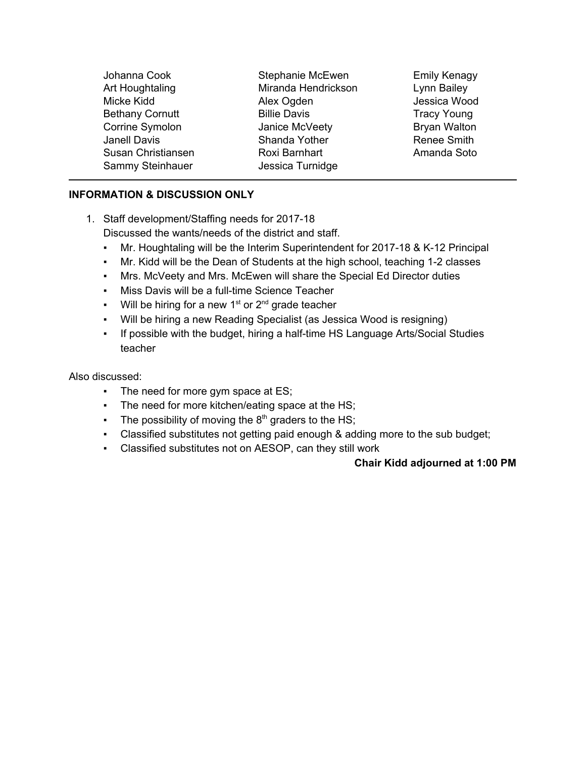| Johanna Cook<br>Art Houghtaling<br>Micke Kidd | Stephanie McEwen<br>Miranda Hendrickson             | <b>Emily Kenagy</b><br>Lynn Bailey<br>Jessica Wood |
|-----------------------------------------------|-----------------------------------------------------|----------------------------------------------------|
| <b>Bethany Cornutt</b><br>Corrine Symolon     | Alex Ogden<br><b>Billie Davis</b><br>Janice McVeety | <b>Tracy Young</b><br><b>Bryan Walton</b>          |
| <b>Janell Davis</b><br>Susan Christiansen     | Shanda Yother<br>Roxi Barnhart                      | Renee Smith<br>Amanda Soto                         |
| Sammy Steinhauer                              | Jessica Turnidge                                    |                                                    |

# **INFORMATION & DISCUSSION ONLY**

- 1. Staff development/Staffing needs for 2017-18 Discussed the wants/needs of the district and staff.
	- Mr. Houghtaling will be the Interim Superintendent for 2017-18 & K-12 Principal
	- Mr. Kidd will be the Dean of Students at the high school, teaching 1-2 classes
	- Mrs. McVeety and Mrs. McEwen will share the Special Ed Director duties
	- Miss Davis will be a full-time Science Teacher
	- **•** Will be hiring for a new  $1<sup>st</sup>$  or  $2<sup>nd</sup>$  grade teacher
	- Will be hiring a new Reading Specialist (as Jessica Wood is resigning)
	- If possible with the budget, hiring a half-time HS Language Arts/Social Studies teacher

Also discussed:

- The need for more gym space at ES;
- The need for more kitchen/eating space at the HS;
- **The possibility of moving the 8<sup>th</sup> graders to the HS;**
- Classified substitutes not getting paid enough & adding more to the sub budget;
- Classified substitutes not on AESOP, can they still work

# **Chair Kidd adjourned at 1:00 PM**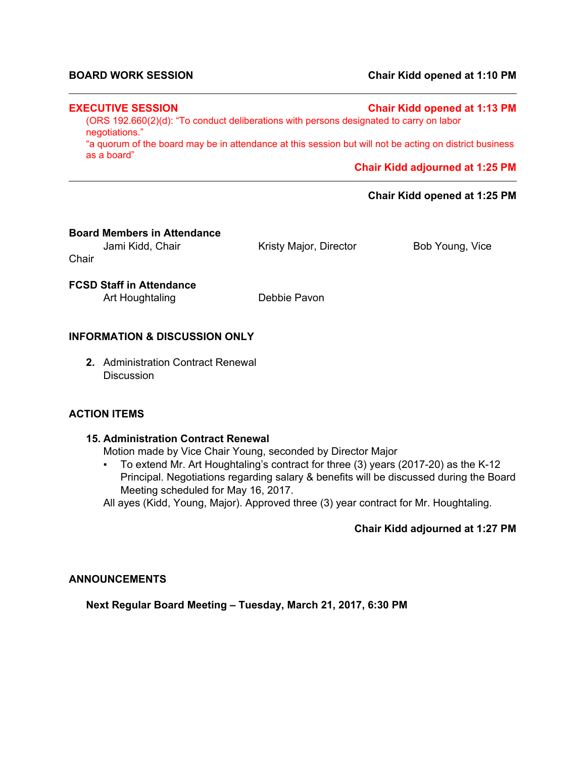#### **BOARD WORK SESSION Chair Kidd opened at 1:10 PM**

#### **EXECUTIVE SESSION Chair Kidd opened at 1:13 PM**

(ORS 192.660(2)(d): "To conduct deliberations with persons designated to carry on labor negotiations."

"a quorum of the board may be in attendance at this session but will not be acting on district business as a board"

**Chair Kidd adjourned at 1:25 PM**

#### **Chair Kidd opened at 1:25 PM**

#### **Board Members in Attendance**

Jami Kidd, Chair **Kristy Major, Director** Bob Young, Vice **Chair** 

**FCSD Staff in Attendance**

Art Houghtaling Debbie Pavon

#### **INFORMATION & DISCUSSION ONLY**

**2.** Administration Contract Renewal **Discussion** 

#### **ACTION ITEMS**

#### **15. Administration Contract Renewal**

Motion made by Vice Chair Young, seconded by Director Major

▪ To extend Mr. Art Houghtaling's contract for three (3) years (2017-20) as the K-12 Principal. Negotiations regarding salary & benefits will be discussed during the Board Meeting scheduled for May 16, 2017.

All ayes (Kidd, Young, Major). Approved three (3) year contract for Mr. Houghtaling.

#### **Chair Kidd adjourned at 1:27 PM**

#### **ANNOUNCEMENTS**

**Next Regular Board Meeting – Tuesday, March 21, 2017, 6:30 PM**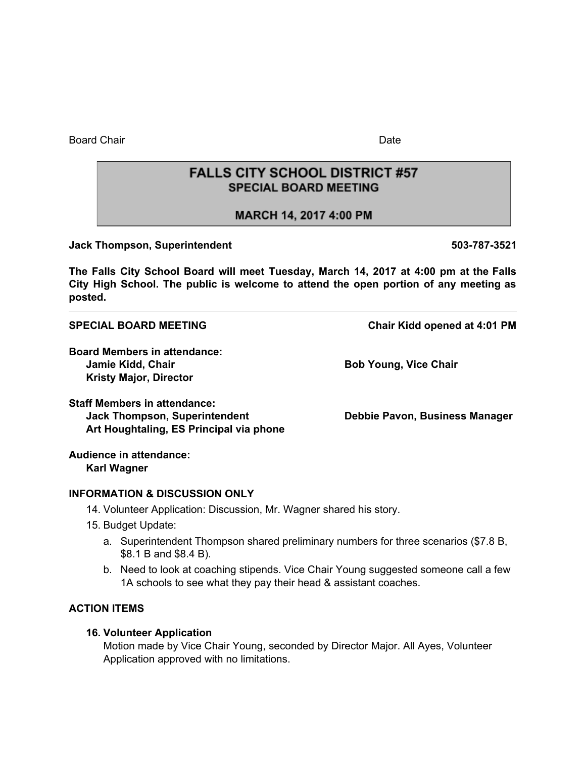Board Chair **Date of Chair Chair Chair** Date of Chair Chair **Date Date** Date of Chair Date of Chair Chair Chair Chair Chair Chair Chair Chair Chair Chair Chair Chair Chair Chair Chair Chair Chair Chair Chair Chair Chair Ch

**FALLS CITY SCHOOL DISTRICT #57 SPECIAL BOARD MEETING** 

MARCH 14, 2017 4:00 PM

**Jack Thompson, Superintendent 503-787-3521**

**The Falls City School Board will meet Tuesday, March 14, 2017 at 4:00 pm at the Falls City High School. The public is welcome to attend the open portion of any meeting as posted.**

**SPECIAL BOARD MEETING Chair Kidd opened at 4:01 PM**

**Board Members in attendance: Jamie Kidd, Chair Bob Young, Vice Chair Kristy Major, Director**

**Staff Members in attendance: Jack Thompson, Superintendent Debbie Pavon, Business Manager Art Houghtaling, ES Principal via phone**

**Audience in attendance: Karl Wagner**

#### **INFORMATION & DISCUSSION ONLY**

- 14. Volunteer Application: Discussion, Mr. Wagner shared his story.
- 15. Budget Update:
	- a. Superintendent Thompson shared preliminary numbers for three scenarios (\$7.8 B, \$8.1 B and \$8.4 B).
	- b. Need to look at coaching stipends. Vice Chair Young suggested someone call a few 1A schools to see what they pay their head & assistant coaches.

#### **ACTION ITEMS**

#### **16. Volunteer Application**

Motion made by Vice Chair Young, seconded by Director Major. All Ayes, Volunteer Application approved with no limitations.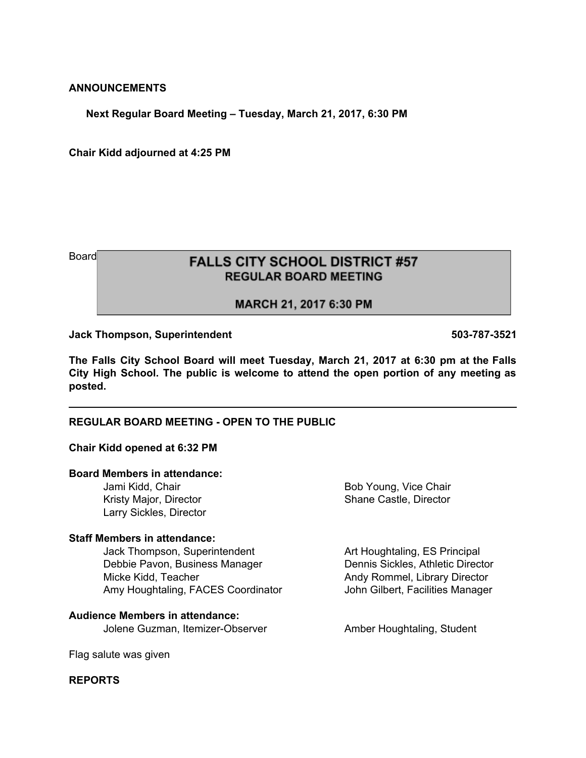#### **ANNOUNCEMENTS**

**Next Regular Board Meeting – Tuesday, March 21, 2017, 6:30 PM**

**Chair Kidd adjourned at 4:25 PM**

# Board **EXELLS CITY SCHOOL DISTRICT #57 REGULAR BOARD MEETING**

#### MARCH 21, 2017 6:30 PM

**Jack Thompson, Superintendent 503-787-3521**

**The Falls City School Board will meet Tuesday, March 21, 2017 at 6:30 pm at the Falls City High School. The public is welcome to attend the open portion of any meeting as posted.**

#### **REGULAR BOARD MEETING - OPEN TO THE PUBLIC**

#### **Chair Kidd opened at 6:32 PM**

#### **Board Members in attendance:**

Jami Kidd, Chair Bob Young, Vice Chair Kristy Major, Director Shane Castle, Director Larry Sickles, Director

#### **Staff Members in attendance:**

Jack Thompson, Superintendent **Art Houghtaling, ES Principal** Debbie Pavon, Business Manager Dennis Sickles, Athletic Director Micke Kidd, Teacher **Andy Rommel, Library Director** Andy Rommel, Library Director Amy Houghtaling, FACES Coordinator **John Gilbert, Facilities Manager** 

**Audience Members in attendance:** Jolene Guzman, Itemizer-Observer **Amber Houghtaling, Student** 

Flag salute was given

#### **REPORTS**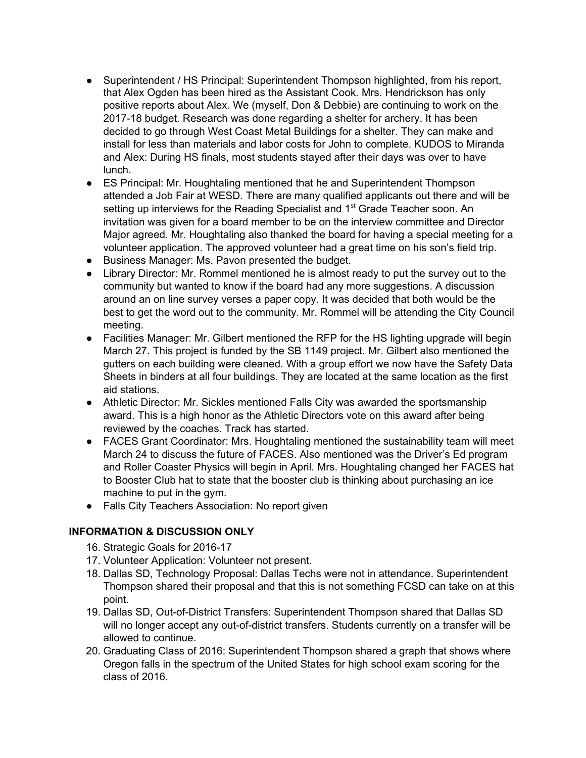- Superintendent / HS Principal: Superintendent Thompson highlighted, from his report, that Alex Ogden has been hired as the Assistant Cook. Mrs. Hendrickson has only positive reports about Alex. We (myself, Don & Debbie) are continuing to work on the 2017-18 budget. Research was done regarding a shelter for archery. It has been decided to go through West Coast Metal Buildings for a shelter. They can make and install for less than materials and labor costs for John to complete. KUDOS to Miranda and Alex: During HS finals, most students stayed after their days was over to have lunch.
- ES Principal: Mr. Houghtaling mentioned that he and Superintendent Thompson attended a Job Fair at WESD. There are many qualified applicants out there and will be setting up interviews for the Reading Specialist and 1<sup>st</sup> Grade Teacher soon. An invitation was given for a board member to be on the interview committee and Director Major agreed. Mr. Houghtaling also thanked the board for having a special meeting for a volunteer application. The approved volunteer had a great time on his son's field trip.
- Business Manager: Ms. Pavon presented the budget.
- Library Director: Mr. Rommel mentioned he is almost ready to put the survey out to the community but wanted to know if the board had any more suggestions. A discussion around an on line survey verses a paper copy. It was decided that both would be the best to get the word out to the community. Mr. Rommel will be attending the City Council meeting.
- Facilities Manager: Mr. Gilbert mentioned the RFP for the HS lighting upgrade will begin March 27. This project is funded by the SB 1149 project. Mr. Gilbert also mentioned the gutters on each building were cleaned. With a group effort we now have the Safety Data Sheets in binders at all four buildings. They are located at the same location as the first aid stations.
- Athletic Director: Mr. Sickles mentioned Falls City was awarded the sportsmanship award. This is a high honor as the Athletic Directors vote on this award after being reviewed by the coaches. Track has started.
- FACES Grant Coordinator: Mrs. Houghtaling mentioned the sustainability team will meet March 24 to discuss the future of FACES. Also mentioned was the Driver's Ed program and Roller Coaster Physics will begin in April. Mrs. Houghtaling changed her FACES hat to Booster Club hat to state that the booster club is thinking about purchasing an ice machine to put in the gym.
- Falls City Teachers Association: No report given

# **INFORMATION & DISCUSSION ONLY**

- 16. Strategic Goals for 2016-17
- 17. Volunteer Application: Volunteer not present.
- 18. Dallas SD, Technology Proposal: Dallas Techs were not in attendance. Superintendent Thompson shared their proposal and that this is not something FCSD can take on at this point.
- 19. Dallas SD, Out-of-District Transfers: Superintendent Thompson shared that Dallas SD will no longer accept any out-of-district transfers. Students currently on a transfer will be allowed to continue.
- 20. Graduating Class of 2016: Superintendent Thompson shared a graph that shows where Oregon falls in the spectrum of the United States for high school exam scoring for the class of 2016.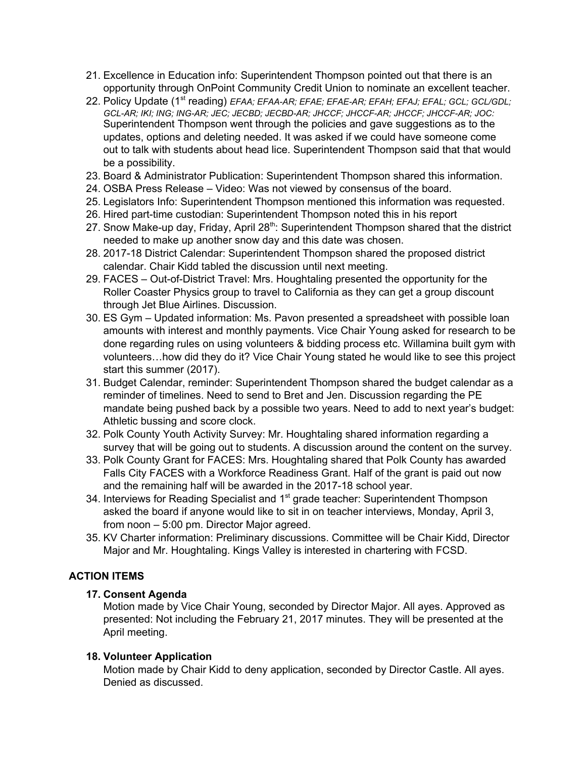- 21. Excellence in Education info: Superintendent Thompson pointed out that there is an opportunity through OnPoint Community Credit Union to nominate an excellent teacher.
- 22. Policy Update (1<sup>st</sup> reading) EFAA; EFAA-AR; EFAE; EFAE-AR; EFAH; EFAJ; EFAL; GCL; GCL/GDL; *GCL-AR; IKI; ING; ING-AR; JEC; JECBD; JECBD-AR; JHCCF; JHCCF-AR; JHCCF; JHCCF-AR; JOC:* Superintendent Thompson went through the policies and gave suggestions as to the updates, options and deleting needed. It was asked if we could have someone come out to talk with students about head lice. Superintendent Thompson said that that would be a possibility.
- 23. Board & Administrator Publication: Superintendent Thompson shared this information.
- 24. OSBA Press Release Video: Was not viewed by consensus of the board.
- 25. Legislators Info: Superintendent Thompson mentioned this information was requested.
- 26. Hired part-time custodian: Superintendent Thompson noted this in his report
- 27. Snow Make-up day, Friday, April 28<sup>th</sup>: Superintendent Thompson shared that the district needed to make up another snow day and this date was chosen.
- 28. 2017-18 District Calendar: Superintendent Thompson shared the proposed district calendar. Chair Kidd tabled the discussion until next meeting.
- 29. FACES Out-of-District Travel: Mrs. Houghtaling presented the opportunity for the Roller Coaster Physics group to travel to California as they can get a group discount through Jet Blue Airlines. Discussion.
- 30. ES Gym Updated information: Ms. Pavon presented a spreadsheet with possible loan amounts with interest and monthly payments. Vice Chair Young asked for research to be done regarding rules on using volunteers & bidding process etc. Willamina built gym with volunteers…how did they do it? Vice Chair Young stated he would like to see this project start this summer (2017).
- 31. Budget Calendar, reminder: Superintendent Thompson shared the budget calendar as a reminder of timelines. Need to send to Bret and Jen. Discussion regarding the PE mandate being pushed back by a possible two years. Need to add to next year's budget: Athletic bussing and score clock.
- 32. Polk County Youth Activity Survey: Mr. Houghtaling shared information regarding a survey that will be going out to students. A discussion around the content on the survey.
- 33. Polk County Grant for FACES: Mrs. Houghtaling shared that Polk County has awarded Falls City FACES with a Workforce Readiness Grant. Half of the grant is paid out now and the remaining half will be awarded in the 2017-18 school year.
- 34. Interviews for Reading Specialist and 1<sup>st</sup> grade teacher: Superintendent Thompson asked the board if anyone would like to sit in on teacher interviews, Monday, April 3, from noon – 5:00 pm. Director Major agreed.
- 35. KV Charter information: Preliminary discussions. Committee will be Chair Kidd, Director Major and Mr. Houghtaling. Kings Valley is interested in chartering with FCSD.

# **ACTION ITEMS**

#### **17. Consent Agenda**

Motion made by Vice Chair Young, seconded by Director Major. All ayes. Approved as presented: Not including the February 21, 2017 minutes. They will be presented at the April meeting.

#### **18. Volunteer Application**

Motion made by Chair Kidd to deny application, seconded by Director Castle. All ayes. Denied as discussed.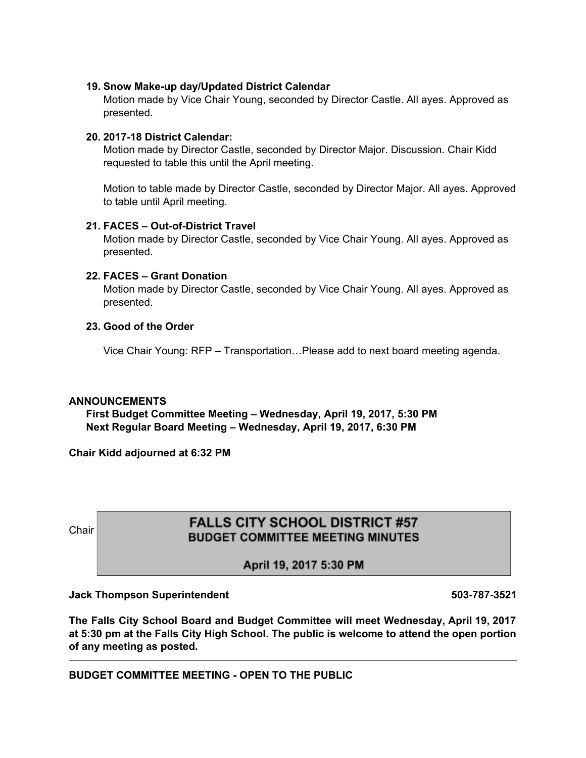#### **19. Snow Make-up day/Updated District Calendar**

Motion made by Vice Chair Young, seconded by Director Castle. All ayes. Approved as presented.

#### **20. 2017-18 District Calendar:**

Motion made by Director Castle, seconded by Director Major. Discussion. Chair Kidd requested to table this until the April meeting.

Motion to table made by Director Castle, seconded by Director Major. All ayes. Approved to table until April meeting.

#### **21. FACES – Out-of-District Travel**

Motion made by Director Castle, seconded by Vice Chair Young. All ayes. Approved as presented.

#### **22. FACES – Grant Donation**

Motion made by Director Castle, seconded by Vice Chair Young. All ayes. Approved as presented.

#### **23. Good of the Order**

Vice Chair Young: RFP – Transportation…Please add to next board meeting agenda.

#### **ANNOUNCEMENTS**

**First Budget Committee Meeting – Wednesday, April 19, 2017, 5:30 PM Next Regular Board Meeting – Wednesday, April 19, 2017, 6:30 PM**

**Chair Kidd adjourned at 6:32 PM**

# Chair **EALLS CITY SCHOOL DISTRICT #57**<br>BUDGET COMMITTEE MEETING MINUTES

April 19, 2017 5:30 PM

#### **Jack Thompson Superintendent 503-787-3521**

**The Falls City School Board and Budget Committee will meet Wednesday, April 19, 2017 at 5:30 pm at the Falls City High School. The public is welcome to attend the open portion of any meeting as posted.**

**BUDGET COMMITTEE MEETING - OPEN TO THE PUBLIC**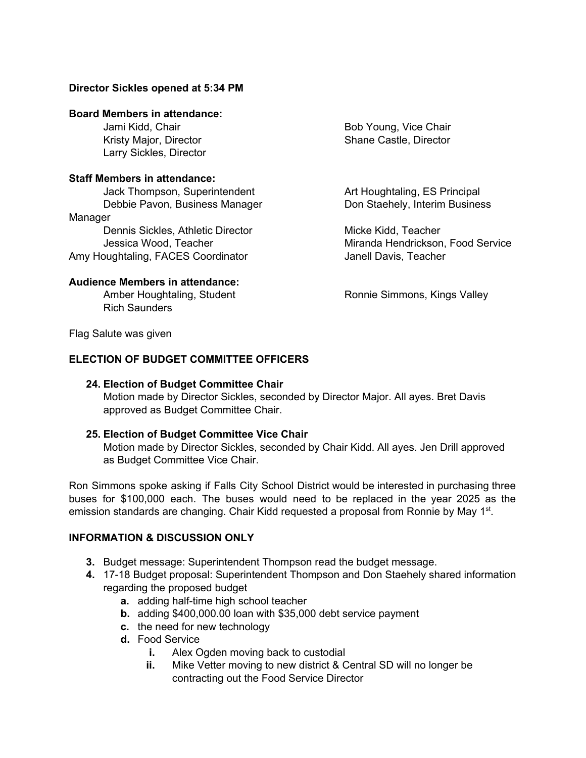#### **Director Sickles opened at 5:34 PM**

#### **Board Members in attendance:**

Larry Sickles, Director

#### **Staff Members in attendance:**

Jack Thompson, Superintendent **Art Houghtaling, ES Principal** Debbie Pavon, Business Manager Don Staehely, Interim Business Manager

Dennis Sickles, Athletic Director **Micke Kidd, Teacher** Micke Kidd, Teacher Amy Houghtaling, FACES Coordinator **Fig. 1** Janell Davis, Teacher

#### **Audience Members in attendance:**

Rich Saunders

Jami Kidd, Chair **Bob Young, Vice Chair** Bob Young, Vice Chair Kristy Major, Director New York Shane Castle, Director

Jessica Wood, Teacher **Miranda Hendrickson, Food Service** 

Amber Houghtaling, Student Ronnie Simmons, Kings Valley

Flag Salute was given

#### **ELECTION OF BUDGET COMMITTEE OFFICERS**

#### **24. Election of Budget Committee Chair**

Motion made by Director Sickles, seconded by Director Major. All ayes. Bret Davis approved as Budget Committee Chair.

#### **25. Election of Budget Committee Vice Chair**

Motion made by Director Sickles, seconded by Chair Kidd. All ayes. Jen Drill approved as Budget Committee Vice Chair.

Ron Simmons spoke asking if Falls City School District would be interested in purchasing three buses for \$100,000 each. The buses would need to be replaced in the year 2025 as the emission standards are changing. Chair Kidd requested a proposal from Ronnie by May 1<sup>st</sup>.

#### **INFORMATION & DISCUSSION ONLY**

- **3.** Budget message: Superintendent Thompson read the budget message.
- **4.** 17-18 Budget proposal: Superintendent Thompson and Don Staehely shared information regarding the proposed budget
	- **a.** adding half-time high school teacher
	- **b.** adding \$400,000.00 loan with \$35,000 debt service payment
	- **c.** the need for new technology
	- **d.** Food Service
		- **i.** Alex Ogden moving back to custodial
		- **ii.** Mike Vetter moving to new district & Central SD will no longer be contracting out the Food Service Director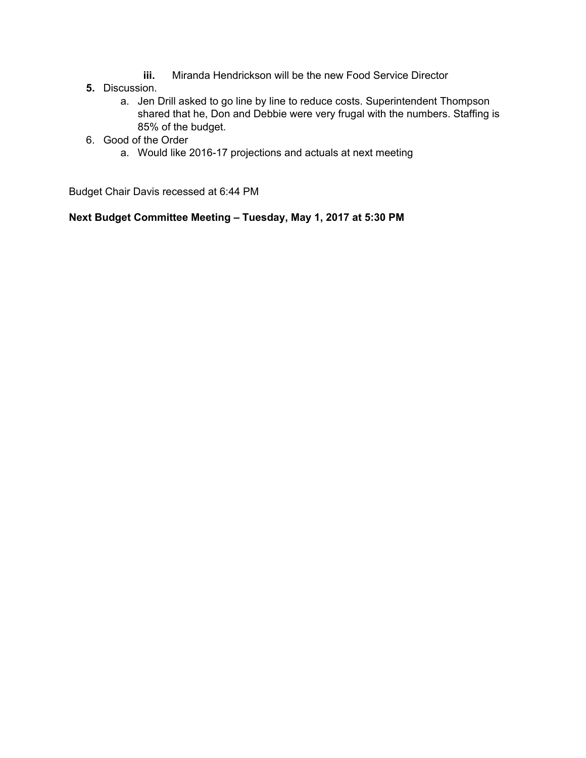- **iii.** Miranda Hendrickson will be the new Food Service Director
- **5.** Discussion.
	- a. Jen Drill asked to go line by line to reduce costs. Superintendent Thompson shared that he, Don and Debbie were very frugal with the numbers. Staffing is 85% of the budget.
- 6. Good of the Order
	- a. Would like 2016-17 projections and actuals at next meeting

Budget Chair Davis recessed at 6:44 PM

**Next Budget Committee Meeting – Tuesday, May 1, 2017 at 5:30 PM**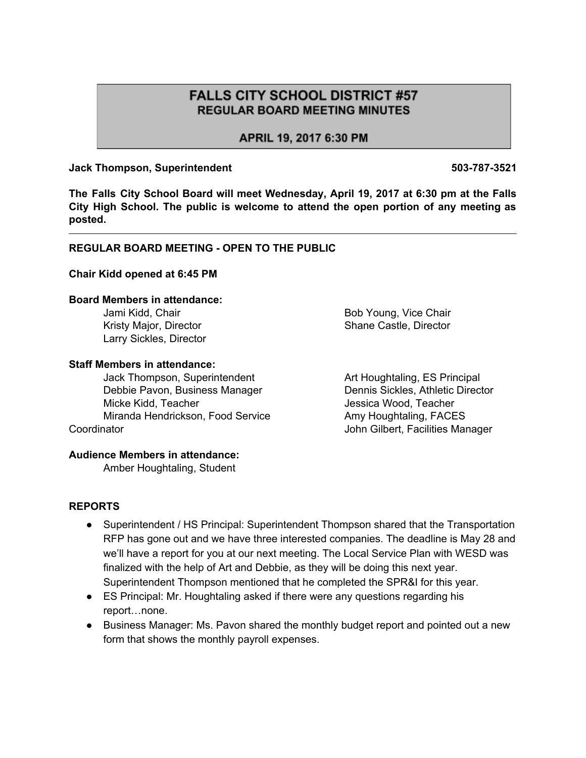# **FALLS CITY SCHOOL DISTRICT #57 REGULAR BOARD MEETING MINUTES**

APRIL 19, 2017 6:30 PM

### **Jack Thompson, Superintendent 503-787-3521**

**The Falls City School Board will meet Wednesday, April 19, 2017 at 6:30 pm at the Falls City High School. The public is welcome to attend the open portion of any meeting as posted.**

# **REGULAR BOARD MEETING - OPEN TO THE PUBLIC**

#### **Chair Kidd opened at 6:45 PM**

#### **Board Members in attendance:**

Jami Kidd, Chair **Bob Young, Vice Chair** Bob Young, Vice Chair Kristy Major, Director **Shane Castle, Director** Shane Castle, Director Larry Sickles, Director

#### **Staff Members in attendance:**

Jack Thompson, Superintendent Art Houghtaling, ES Principal Debbie Pavon, Business Manager Dennis Sickles, Athletic Director Micke Kidd, Teacher Jessica Wood, Teacher Miranda Hendrickson, Food Service Amy Houghtaling, FACES Coordinator **Coordinator** Coordinator **John Gilbert, Facilities Manager** 

#### **Audience Members in attendance:**

Amber Houghtaling, Student

**REPORTS**

- Superintendent / HS Principal: Superintendent Thompson shared that the Transportation RFP has gone out and we have three interested companies. The deadline is May 28 and we'll have a report for you at our next meeting. The Local Service Plan with WESD was finalized with the help of Art and Debbie, as they will be doing this next year. Superintendent Thompson mentioned that he completed the SPR&I for this year.
- ES Principal: Mr. Houghtaling asked if there were any questions regarding his report…none.
- Business Manager: Ms. Pavon shared the monthly budget report and pointed out a new form that shows the monthly payroll expenses.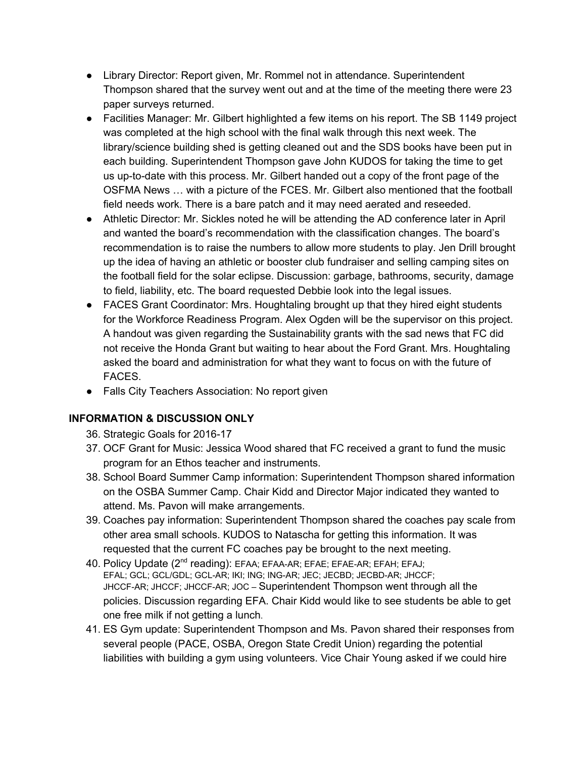- Library Director: Report given, Mr. Rommel not in attendance. Superintendent Thompson shared that the survey went out and at the time of the meeting there were 23 paper surveys returned.
- Facilities Manager: Mr. Gilbert highlighted a few items on his report. The SB 1149 project was completed at the high school with the final walk through this next week. The library/science building shed is getting cleaned out and the SDS books have been put in each building. Superintendent Thompson gave John KUDOS for taking the time to get us up-to-date with this process. Mr. Gilbert handed out a copy of the front page of the OSFMA News … with a picture of the FCES. Mr. Gilbert also mentioned that the football field needs work. There is a bare patch and it may need aerated and reseeded.
- Athletic Director: Mr. Sickles noted he will be attending the AD conference later in April and wanted the board's recommendation with the classification changes. The board's recommendation is to raise the numbers to allow more students to play. Jen Drill brought up the idea of having an athletic or booster club fundraiser and selling camping sites on the football field for the solar eclipse. Discussion: garbage, bathrooms, security, damage to field, liability, etc. The board requested Debbie look into the legal issues.
- FACES Grant Coordinator: Mrs. Houghtaling brought up that they hired eight students for the Workforce Readiness Program. Alex Ogden will be the supervisor on this project. A handout was given regarding the Sustainability grants with the sad news that FC did not receive the Honda Grant but waiting to hear about the Ford Grant. Mrs. Houghtaling asked the board and administration for what they want to focus on with the future of FACES.
- Falls City Teachers Association: No report given

# **INFORMATION & DISCUSSION ONLY**

- 36. Strategic Goals for 2016-17
- 37. OCF Grant for Music: Jessica Wood shared that FC received a grant to fund the music program for an Ethos teacher and instruments.
- 38. School Board Summer Camp information: Superintendent Thompson shared information on the OSBA Summer Camp. Chair Kidd and Director Major indicated they wanted to attend. Ms. Pavon will make arrangements.
- 39. Coaches pay information: Superintendent Thompson shared the coaches pay scale from other area small schools. KUDOS to Natascha for getting this information. It was requested that the current FC coaches pay be brought to the next meeting.
- 40. Policy Update (2<sup>nd</sup> reading): EFAA; EFAA-AR; EFAE; EFAE-AR; EFAH; EFAJ; EFAL; GCL; GCL/GDL; GCL-AR; IKI; ING; ING-AR; JEC; JECBD; JECBD-AR; JHCCF; JHCCF-AR; JHCCF; JHCCF-AR; JOC – Superintendent Thompson went through all the policies. Discussion regarding EFA. Chair Kidd would like to see students be able to get one free milk if not getting a lunch.
- 41. ES Gym update: Superintendent Thompson and Ms. Pavon shared their responses from several people (PACE, OSBA, Oregon State Credit Union) regarding the potential liabilities with building a gym using volunteers. Vice Chair Young asked if we could hire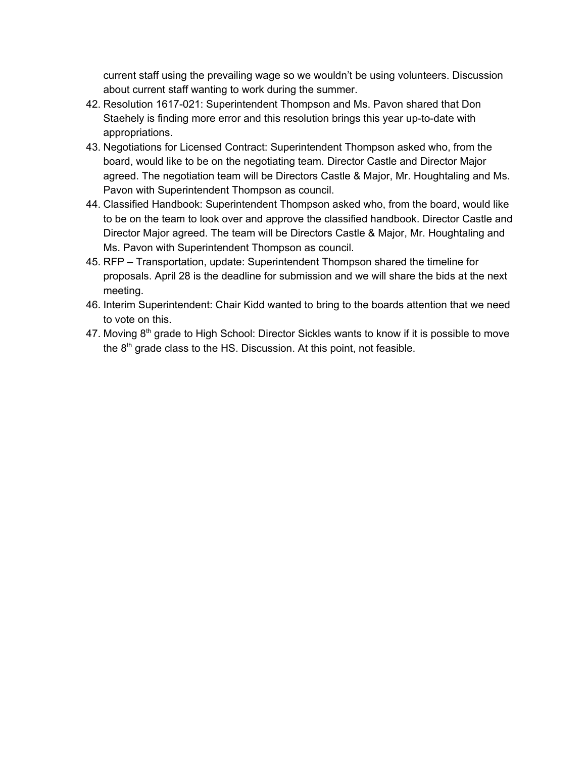current staff using the prevailing wage so we wouldn't be using volunteers. Discussion about current staff wanting to work during the summer.

- 42. Resolution 1617-021: Superintendent Thompson and Ms. Pavon shared that Don Staehely is finding more error and this resolution brings this year up-to-date with appropriations.
- 43. Negotiations for Licensed Contract: Superintendent Thompson asked who, from the board, would like to be on the negotiating team. Director Castle and Director Major agreed. The negotiation team will be Directors Castle & Major, Mr. Houghtaling and Ms. Pavon with Superintendent Thompson as council.
- 44. Classified Handbook: Superintendent Thompson asked who, from the board, would like to be on the team to look over and approve the classified handbook. Director Castle and Director Major agreed. The team will be Directors Castle & Major, Mr. Houghtaling and Ms. Pavon with Superintendent Thompson as council.
- 45. RFP Transportation, update: Superintendent Thompson shared the timeline for proposals. April 28 is the deadline for submission and we will share the bids at the next meeting.
- 46. Interim Superintendent: Chair Kidd wanted to bring to the boards attention that we need to vote on this.
- 47. Moving 8<sup>th</sup> grade to High School: Director Sickles wants to know if it is possible to move the  $8<sup>th</sup>$  grade class to the HS. Discussion. At this point, not feasible.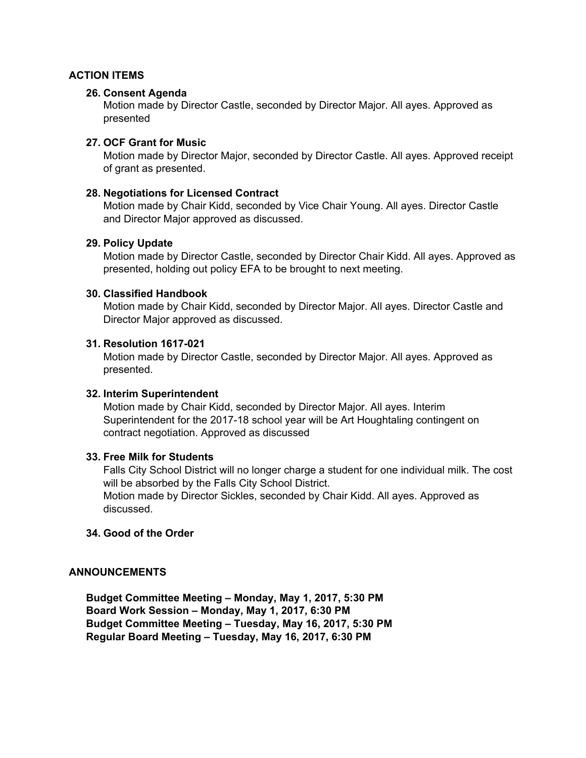#### **ACTION ITEMS**

#### **26. Consent Agenda**

Motion made by Director Castle, seconded by Director Major. All ayes. Approved as presented

#### **27. OCF Grant for Music**

Motion made by Director Major, seconded by Director Castle. All ayes. Approved receipt of grant as presented.

#### **28. Negotiations for Licensed Contract**

Motion made by Chair Kidd, seconded by Vice Chair Young. All ayes. Director Castle and Director Major approved as discussed.

#### **29. Policy Update**

Motion made by Director Castle, seconded by Director Chair Kidd. All ayes. Approved as presented, holding out policy EFA to be brought to next meeting.

#### **30. Classified Handbook**

Motion made by Chair Kidd, seconded by Director Major. All ayes. Director Castle and Director Major approved as discussed.

#### **31. Resolution 1617-021**

Motion made by Director Castle, seconded by Director Major. All ayes. Approved as presented.

#### **32. Interim Superintendent**

Motion made by Chair Kidd, seconded by Director Major. All ayes. Interim Superintendent for the 2017-18 school year will be Art Houghtaling contingent on contract negotiation. Approved as discussed

#### **33. Free Milk for Students**

Falls City School District will no longer charge a student for one individual milk. The cost will be absorbed by the Falls City School District. Motion made by Director Sickles, seconded by Chair Kidd. All ayes. Approved as discussed.

#### **34. Good of the Order**

#### **ANNOUNCEMENTS**

**Budget Committee Meeting – Monday, May 1, 2017, 5:30 PM Board Work Session – Monday, May 1, 2017, 6:30 PM Budget Committee Meeting – Tuesday, May 16, 2017, 5:30 PM Regular Board Meeting – Tuesday, May 16, 2017, 6:30 PM**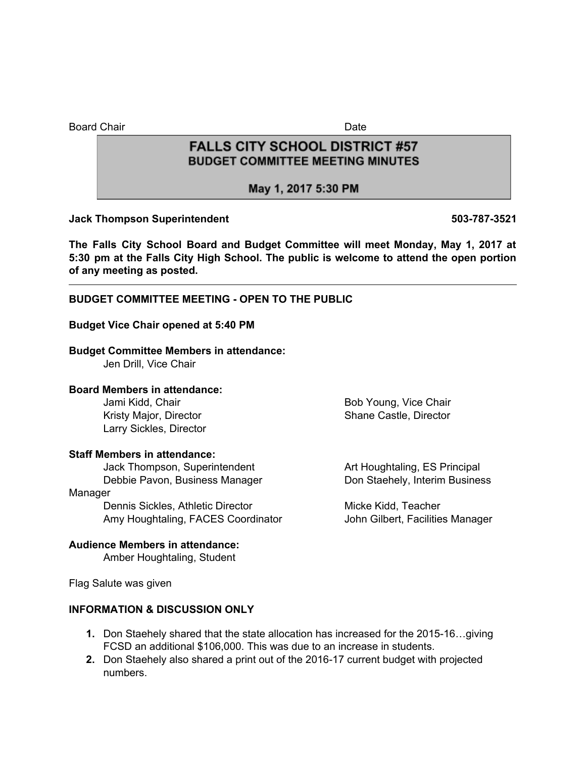Board Chair **Date** 

# **FALLS CITY SCHOOL DISTRICT #57 BUDGET COMMITTEE MEETING MINUTES**

# May 1, 2017 5:30 PM

#### **Jack Thompson Superintendent 503-787-3521**

**The Falls City School Board and Budget Committee will meet Monday, May 1, 2017 at 5:30 pm at the Falls City High School. The public is welcome to attend the open portion of any meeting as posted.**

# **BUDGET COMMITTEE MEETING - OPEN TO THE PUBLIC**

#### **Budget Vice Chair opened at 5:40 PM**

#### **Budget Committee Members in attendance:**

Jen Drill, Vice Chair

#### **Board Members in attendance:**

Jami Kidd, Chair Bob Young, Vice Chair Larry Sickles, Director

#### **Staff Members in attendance:**

Jack Thompson, Superintendent **Art Houghtaling, ES Principal** Debbie Pavon, Business Manager Don Staehely, Interim Business

#### Manager

Dennis Sickles, Athletic Director Micke Kidd, Teacher Amy Houghtaling, FACES Coordinator **John Gilbert, Facilities Manager** 

Kristy Major, Director **Shane Castle, Director** Shane Castle, Director

#### **Audience Members in attendance:**

Amber Houghtaling, Student

Flag Salute was given

#### **INFORMATION & DISCUSSION ONLY**

- **1.** Don Staehely shared that the state allocation has increased for the 2015-16…giving FCSD an additional \$106,000. This was due to an increase in students.
- **2.** Don Staehely also shared a print out of the 2016-17 current budget with projected numbers.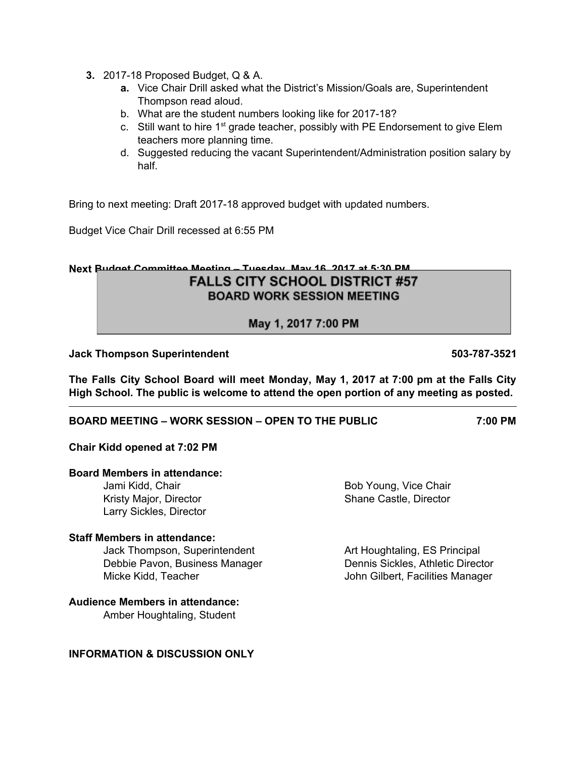- **3.** 2017-18 Proposed Budget, Q & A.
	- **a.** Vice Chair Drill asked what the District's Mission/Goals are, Superintendent Thompson read aloud.
	- b. What are the student numbers looking like for 2017-18?
	- c. Still want to hire  $1<sup>st</sup>$  grade teacher, possibly with PE Endorsement to give Elem teachers more planning time.
	- d. Suggested reducing the vacant Superintendent/Administration position salary by half.

Bring to next meeting: Draft 2017-18 approved budget with updated numbers.

Budget Vice Chair Drill recessed at 6:55 PM

# **Next Budget Committee Meeting – Tuesday, May 16, 2017 at 5:30 PM FALLS CITY SCHOOL DISTRICT #57**

**BOARD WORK SESSION MEETING** 

May 1, 2017 7:00 PM

#### **Jack Thompson Superintendent 503-787-3521**

**The Falls City School Board will meet Monday, May 1, 2017 at 7:00 pm at the Falls City High School. The public is welcome to attend the open portion of any meeting as posted.**

#### **BOARD MEETING – WORK SESSION – OPEN TO THE PUBLIC 7:00 PM**

#### **Chair Kidd opened at 7:02 PM**

#### **Board Members in attendance:**

Jami Kidd, Chair **Bob Young, Vice Chair** Bob Young, Vice Chair Kristy Major, Director New York Shane Castle, Director Larry Sickles, Director

#### **Staff Members in attendance:**

Jack Thompson, Superintendent **Art Houghtaling, ES Principal** Debbie Pavon, Business Manager Dennis Sickles, Athletic Director Micke Kidd, Teacher **John Gilbert, Facilities Manager** John Gilbert, Facilities Manager

#### **Audience Members in attendance:**

Amber Houghtaling, Student

#### **INFORMATION & DISCUSSION ONLY**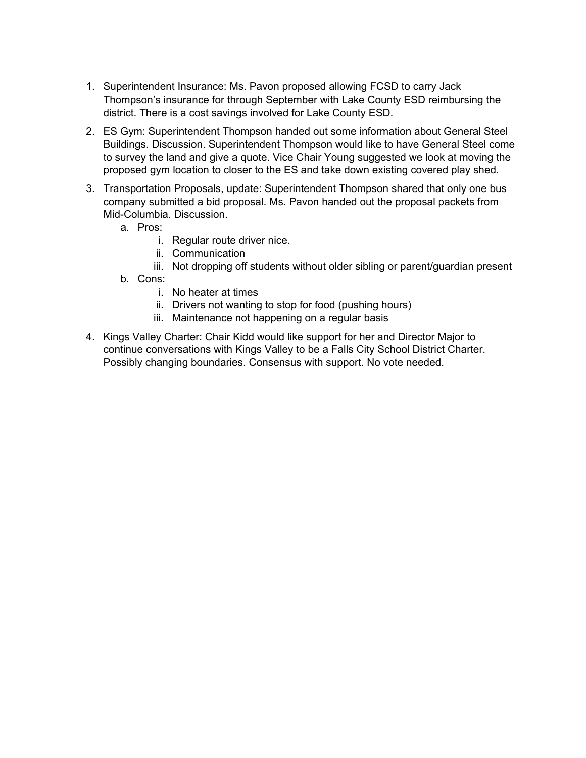- 1. Superintendent Insurance: Ms. Pavon proposed allowing FCSD to carry Jack Thompson's insurance for through September with Lake County ESD reimbursing the district. There is a cost savings involved for Lake County ESD.
- 2. ES Gym: Superintendent Thompson handed out some information about General Steel Buildings. Discussion. Superintendent Thompson would like to have General Steel come to survey the land and give a quote. Vice Chair Young suggested we look at moving the proposed gym location to closer to the ES and take down existing covered play shed.
- 3. Transportation Proposals, update: Superintendent Thompson shared that only one bus company submitted a bid proposal. Ms. Pavon handed out the proposal packets from Mid-Columbia. Discussion.
	- a. Pros:
		- i. Regular route driver nice.
		- ii. Communication
		- iii. Not dropping off students without older sibling or parent/guardian present
	- b. Cons:
		- i. No heater at times
		- ii. Drivers not wanting to stop for food (pushing hours)
		- iii. Maintenance not happening on a regular basis
- 4. Kings Valley Charter: Chair Kidd would like support for her and Director Major to continue conversations with Kings Valley to be a Falls City School District Charter. Possibly changing boundaries. Consensus with support. No vote needed.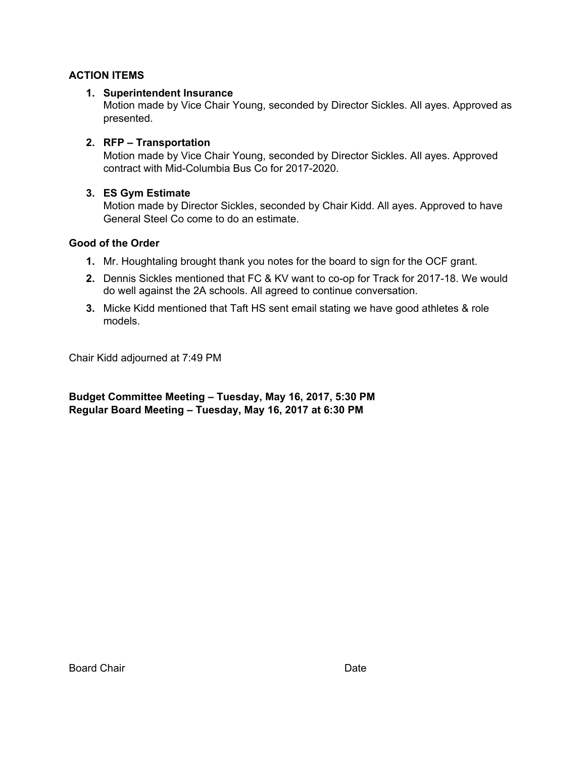# **ACTION ITEMS**

# **1. Superintendent Insurance**

Motion made by Vice Chair Young, seconded by Director Sickles. All ayes. Approved as presented.

# **2. RFP – Transportation**

Motion made by Vice Chair Young, seconded by Director Sickles. All ayes. Approved contract with Mid-Columbia Bus Co for 2017-2020.

# **3. ES Gym Estimate**

Motion made by Director Sickles, seconded by Chair Kidd. All ayes. Approved to have General Steel Co come to do an estimate.

# **Good of the Order**

- **1.** Mr. Houghtaling brought thank you notes for the board to sign for the OCF grant.
- **2.** Dennis Sickles mentioned that FC & KV want to co-op for Track for 2017-18. We would do well against the 2A schools. All agreed to continue conversation.
- **3.** Micke Kidd mentioned that Taft HS sent email stating we have good athletes & role models.

Chair Kidd adjourned at 7:49 PM

**Budget Committee Meeting – Tuesday, May 16, 2017, 5:30 PM Regular Board Meeting – Tuesday, May 16, 2017 at 6:30 PM**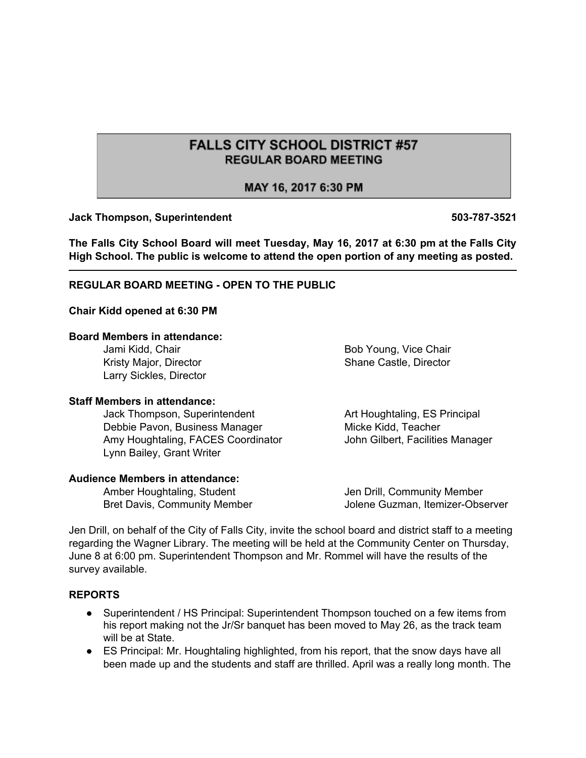# **FALLS CITY SCHOOL DISTRICT #57 REGULAR BOARD MEETING**

# MAY 16, 2017 6:30 PM

#### **Jack Thompson, Superintendent 503-787-3521**

**The Falls City School Board will meet Tuesday, May 16, 2017 at 6:30 pm at the Falls City High School. The public is welcome to attend the open portion of any meeting as posted.**

#### **REGULAR BOARD MEETING - OPEN TO THE PUBLIC**

#### **Chair Kidd opened at 6:30 PM**

#### **Board Members in attendance:**

Kristy Major, Director **Shane Castle, Director** Shane Castle, Director Larry Sickles, Director

#### **Staff Members in attendance:**

Jack Thompson, Superintendent **Art Houghtaling, ES Principal** Debbie Pavon, Business Manager Micke Kidd, Teacher Amy Houghtaling, FACES Coordinator **John Gilbert, Facilities Manager** Lynn Bailey, Grant Writer

#### **Audience Members in attendance:**

Amber Houghtaling, Student **Jen Drill, Community Member** Bret Davis, Community Member **Jolene Guzman, Itemizer-Observer** 

Jen Drill, on behalf of the City of Falls City, invite the school board and district staff to a meeting regarding the Wagner Library. The meeting will be held at the Community Center on Thursday, June 8 at 6:00 pm. Superintendent Thompson and Mr. Rommel will have the results of the survey available.

#### **REPORTS**

- Superintendent / HS Principal: Superintendent Thompson touched on a few items from his report making not the Jr/Sr banquet has been moved to May 26, as the track team will be at State.
- ES Principal: Mr. Houghtaling highlighted, from his report, that the snow days have all been made up and the students and staff are thrilled. April was a really long month. The

Jami Kidd, Chair **Bob Young, Vice Chair** Bob Young, Vice Chair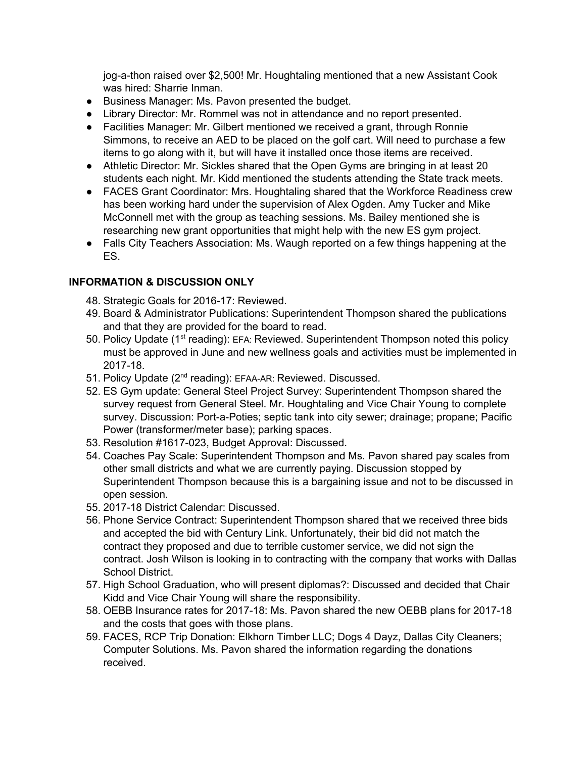jog-a-thon raised over \$2,500! Mr. Houghtaling mentioned that a new Assistant Cook was hired: Sharrie Inman.

- Business Manager: Ms. Pavon presented the budget.
- Library Director: Mr. Rommel was not in attendance and no report presented.
- Facilities Manager: Mr. Gilbert mentioned we received a grant, through Ronnie Simmons, to receive an AED to be placed on the golf cart. Will need to purchase a few items to go along with it, but will have it installed once those items are received.
- Athletic Director: Mr. Sickles shared that the Open Gyms are bringing in at least 20 students each night. Mr. Kidd mentioned the students attending the State track meets.
- FACES Grant Coordinator: Mrs. Houghtaling shared that the Workforce Readiness crew has been working hard under the supervision of Alex Ogden. Amy Tucker and Mike McConnell met with the group as teaching sessions. Ms. Bailey mentioned she is researching new grant opportunities that might help with the new ES gym project.
- Falls City Teachers Association: Ms. Waugh reported on a few things happening at the ES.

# **INFORMATION & DISCUSSION ONLY**

- 48. Strategic Goals for 2016-17: Reviewed.
- 49. Board & Administrator Publications: Superintendent Thompson shared the publications and that they are provided for the board to read.
- 50. Policy Update (1<sup>st</sup> reading): EFA: Reviewed. Superintendent Thompson noted this policy must be approved in June and new wellness goals and activities must be implemented in 2017-18.
- 51. Policy Update (2<sup>nd</sup> reading): EFAA-AR: Reviewed. Discussed.
- 52. ES Gym update: General Steel Project Survey: Superintendent Thompson shared the survey request from General Steel. Mr. Houghtaling and Vice Chair Young to complete survey. Discussion: Port-a-Poties; septic tank into city sewer; drainage; propane; Pacific Power (transformer/meter base); parking spaces.
- 53. Resolution #1617-023, Budget Approval: Discussed.
- 54. Coaches Pay Scale: Superintendent Thompson and Ms. Pavon shared pay scales from other small districts and what we are currently paying. Discussion stopped by Superintendent Thompson because this is a bargaining issue and not to be discussed in open session.
- 55. 2017-18 District Calendar: Discussed.
- 56. Phone Service Contract: Superintendent Thompson shared that we received three bids and accepted the bid with Century Link. Unfortunately, their bid did not match the contract they proposed and due to terrible customer service, we did not sign the contract. Josh Wilson is looking in to contracting with the company that works with Dallas School District.
- 57. High School Graduation, who will present diplomas?: Discussed and decided that Chair Kidd and Vice Chair Young will share the responsibility.
- 58. OEBB Insurance rates for 2017-18: Ms. Pavon shared the new OEBB plans for 2017-18 and the costs that goes with those plans.
- 59. FACES, RCP Trip Donation: Elkhorn Timber LLC; Dogs 4 Dayz, Dallas City Cleaners; Computer Solutions. Ms. Pavon shared the information regarding the donations received.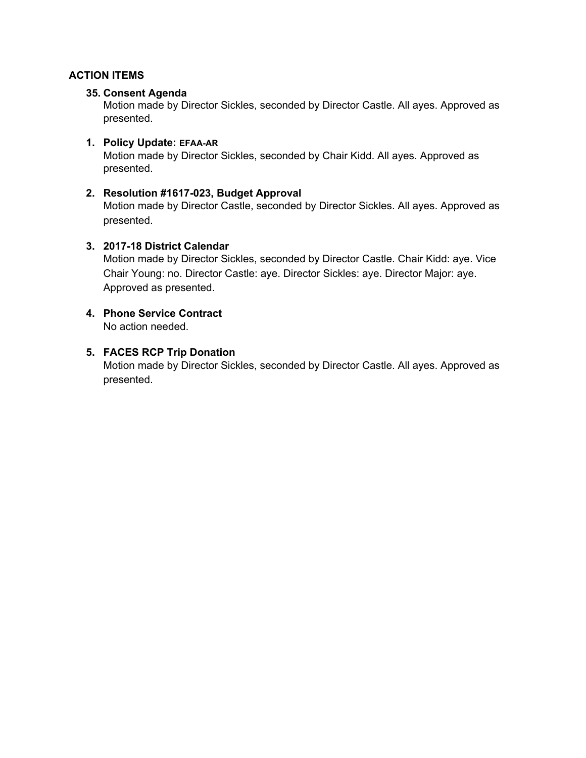### **ACTION ITEMS**

#### **35. Consent Agenda**

Motion made by Director Sickles, seconded by Director Castle. All ayes. Approved as presented.

### **1. Policy Update: EFAA-AR**

Motion made by Director Sickles, seconded by Chair Kidd. All ayes. Approved as presented.

#### **2. Resolution #1617-023, Budget Approval**

Motion made by Director Castle, seconded by Director Sickles. All ayes. Approved as presented.

#### **3. 2017-18 District Calendar**

Motion made by Director Sickles, seconded by Director Castle. Chair Kidd: aye. Vice Chair Young: no. Director Castle: aye. Director Sickles: aye. Director Major: aye. Approved as presented.

# **4. Phone Service Contract**

No action needed.

#### **5. FACES RCP Trip Donation**

Motion made by Director Sickles, seconded by Director Castle. All ayes. Approved as presented.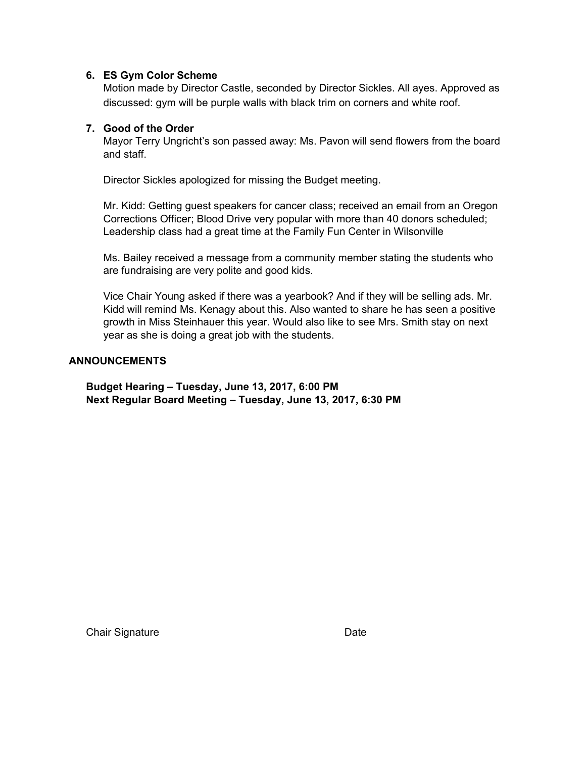#### **6. ES Gym Color Scheme**

Motion made by Director Castle, seconded by Director Sickles. All ayes. Approved as discussed: gym will be purple walls with black trim on corners and white roof.

#### **7. Good of the Order**

Mayor Terry Ungricht's son passed away: Ms. Pavon will send flowers from the board and staff.

Director Sickles apologized for missing the Budget meeting.

Mr. Kidd: Getting guest speakers for cancer class; received an email from an Oregon Corrections Officer; Blood Drive very popular with more than 40 donors scheduled; Leadership class had a great time at the Family Fun Center in Wilsonville

Ms. Bailey received a message from a community member stating the students who are fundraising are very polite and good kids.

Vice Chair Young asked if there was a yearbook? And if they will be selling ads. Mr. Kidd will remind Ms. Kenagy about this. Also wanted to share he has seen a positive growth in Miss Steinhauer this year. Would also like to see Mrs. Smith stay on next year as she is doing a great job with the students.

#### **ANNOUNCEMENTS**

**Budget Hearing – Tuesday, June 13, 2017, 6:00 PM Next Regular Board Meeting – Tuesday, June 13, 2017, 6:30 PM**

Chair Signature Date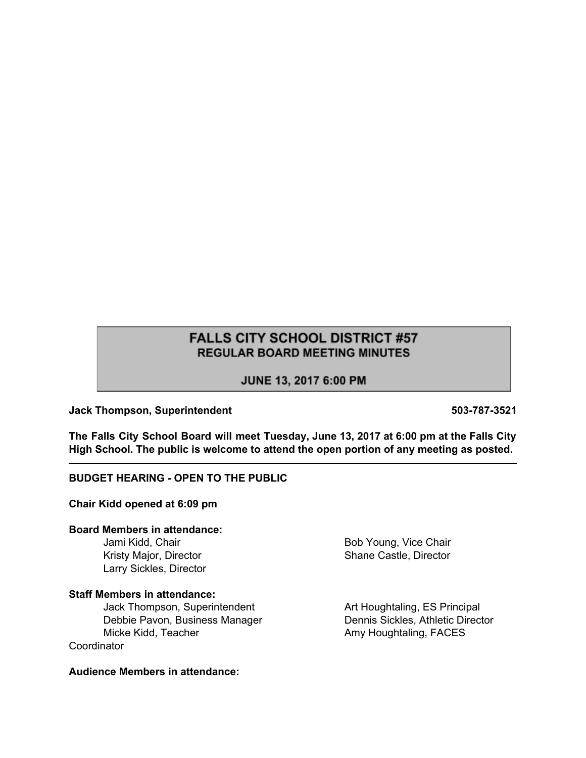# **FALLS CITY SCHOOL DISTRICT #57 REGULAR BOARD MEETING MINUTES**

# JUNE 13, 2017 6:00 PM

#### **Jack Thompson, Superintendent 503-787-3521**

**The Falls City School Board will meet Tuesday, June 13, 2017 at 6:00 pm at the Falls City High School. The public is welcome to attend the open portion of any meeting as posted.**

#### **BUDGET HEARING - OPEN TO THE PUBLIC**

**Chair Kidd opened at 6:09 pm**

#### **Board Members in attendance:**

Jami Kidd, Chair **Bob Young, Vice Chair** Bob Young, Vice Chair Larry Sickles, Director

#### **Staff Members in attendance:**

Jack Thompson, Superintendent Art Houghtaling, ES Principal Debbie Pavon, Business Manager Dennis Sickles, Athletic Director Micke Kidd, Teacher **Amy Houghtaling, FACES Coordinator** 

Kristy Major, Director **Shane Castle, Director** Shane Castle, Director

**Audience Members in attendance:**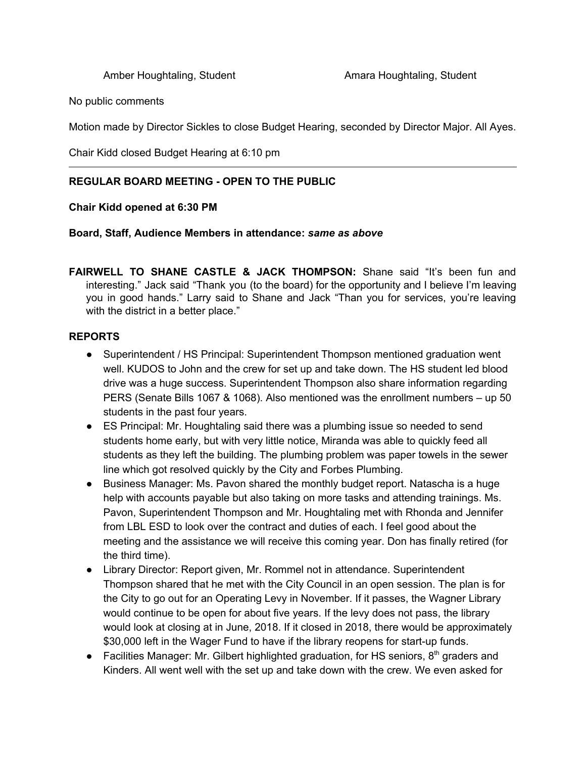No public comments

Motion made by Director Sickles to close Budget Hearing, seconded by Director Major. All Ayes.

Chair Kidd closed Budget Hearing at 6:10 pm

# **REGULAR BOARD MEETING - OPEN TO THE PUBLIC**

#### **Chair Kidd opened at 6:30 PM**

#### **Board, Staff, Audience Members in attendance:** *same as above*

**FAIRWELL TO SHANE CASTLE & JACK THOMPSON:** Shane said "It's been fun and interesting." Jack said "Thank you (to the board) for the opportunity and I believe I'm leaving you in good hands." Larry said to Shane and Jack "Than you for services, you're leaving with the district in a better place."

# **REPORTS**

- Superintendent / HS Principal: Superintendent Thompson mentioned graduation went well. KUDOS to John and the crew for set up and take down. The HS student led blood drive was a huge success. Superintendent Thompson also share information regarding PERS (Senate Bills 1067 & 1068). Also mentioned was the enrollment numbers – up 50 students in the past four years.
- ES Principal: Mr. Houghtaling said there was a plumbing issue so needed to send students home early, but with very little notice, Miranda was able to quickly feed all students as they left the building. The plumbing problem was paper towels in the sewer line which got resolved quickly by the City and Forbes Plumbing.
- Business Manager: Ms. Pavon shared the monthly budget report. Natascha is a huge help with accounts payable but also taking on more tasks and attending trainings. Ms. Pavon, Superintendent Thompson and Mr. Houghtaling met with Rhonda and Jennifer from LBL ESD to look over the contract and duties of each. I feel good about the meeting and the assistance we will receive this coming year. Don has finally retired (for the third time).
- Library Director: Report given, Mr. Rommel not in attendance. Superintendent Thompson shared that he met with the City Council in an open session. The plan is for the City to go out for an Operating Levy in November. If it passes, the Wagner Library would continue to be open for about five years. If the levy does not pass, the library would look at closing at in June, 2018. If it closed in 2018, there would be approximately \$30,000 left in the Wager Fund to have if the library reopens for start-up funds.
- Facilities Manager: Mr. Gilbert highlighted graduation, for HS seniors,  $8<sup>th</sup>$  graders and Kinders. All went well with the set up and take down with the crew. We even asked for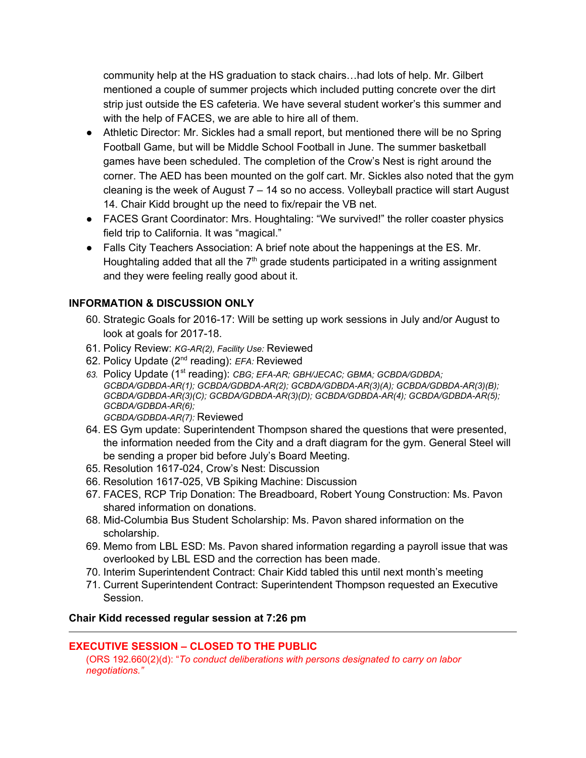community help at the HS graduation to stack chairs…had lots of help. Mr. Gilbert mentioned a couple of summer projects which included putting concrete over the dirt strip just outside the ES cafeteria. We have several student worker's this summer and with the help of FACES, we are able to hire all of them.

- Athletic Director: Mr. Sickles had a small report, but mentioned there will be no Spring Football Game, but will be Middle School Football in June. The summer basketball games have been scheduled. The completion of the Crow's Nest is right around the corner. The AED has been mounted on the golf cart. Mr. Sickles also noted that the gym cleaning is the week of August  $7 - 14$  so no access. Volleyball practice will start August 14. Chair Kidd brought up the need to fix/repair the VB net.
- FACES Grant Coordinator: Mrs. Houghtaling: "We survived!" the roller coaster physics field trip to California. It was "magical."
- Falls City Teachers Association: A brief note about the happenings at the ES. Mr. Houghtaling added that all the  $7<sup>th</sup>$  grade students participated in a writing assignment and they were feeling really good about it.

# **INFORMATION & DISCUSSION ONLY**

- 60. Strategic Goals for 2016-17: Will be setting up work sessions in July and/or August to look at goals for 2017-18.
- 61. Policy Review: *KG-AR(2), Facility Use:* Reviewed
- 62. Policy Update (2<sup>nd</sup> reading): *EFA:* Reviewed
- 63. Policy Update (1<sup>st</sup> reading): *CBG; EFA-AR; GBH/JECAC; GBMA; GCBDA/GDBDA; GCBDA/GDBDA-AR(1); GCBDA/GDBDA-AR(2); GCBDA/GDBDA-AR(3)(A); GCBDA/GDBDA-AR(3)(B); GCBDA/GDBDA-AR(3)(C); GCBDA/GDBDA-AR(3)(D); GCBDA/GDBDA-AR(4); GCBDA/GDBDA-AR(5); GCBDA/GDBDA-AR(6); GCBDA/GDBDA-AR(7):* Reviewed
- 64. ES Gym update: Superintendent Thompson shared the questions that were presented, the information needed from the City and a draft diagram for the gym. General Steel will be sending a proper bid before July's Board Meeting.
- 65. Resolution 1617-024, Crow's Nest: Discussion
- 66. Resolution 1617-025, VB Spiking Machine: Discussion
- 67. FACES, RCP Trip Donation: The Breadboard, Robert Young Construction: Ms. Pavon shared information on donations.
- 68. Mid-Columbia Bus Student Scholarship: Ms. Pavon shared information on the scholarship.
- 69. Memo from LBL ESD: Ms. Pavon shared information regarding a payroll issue that was overlooked by LBL ESD and the correction has been made.
- 70. Interim Superintendent Contract: Chair Kidd tabled this until next month's meeting
- 71. Current Superintendent Contract: Superintendent Thompson requested an Executive Session.

#### **Chair Kidd recessed regular session at 7:26 pm**

#### **EXECUTIVE SESSION – CLOSED TO THE PUBLIC**

(ORS 192.660(2)(d): "*To conduct deliberations with persons designated to carry on labor negotiations."*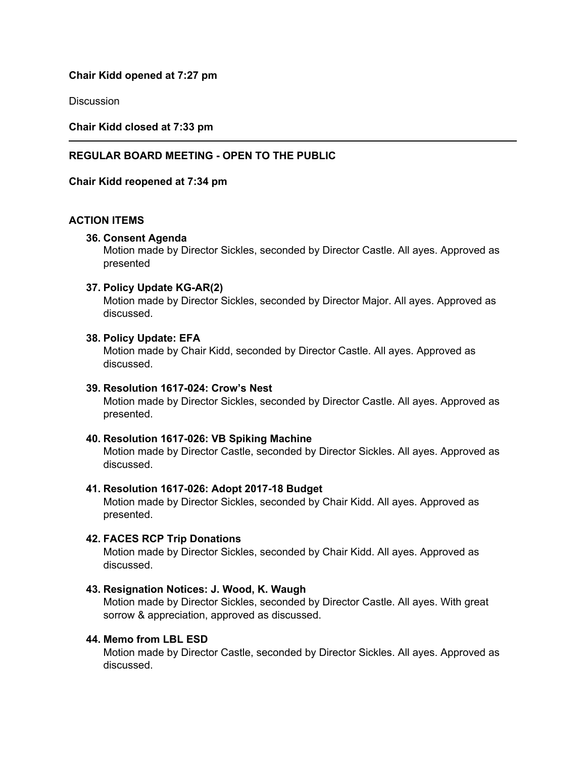#### **Chair Kidd opened at 7:27 pm**

**Discussion** 

**Chair Kidd closed at 7:33 pm**

#### **REGULAR BOARD MEETING - OPEN TO THE PUBLIC**

**Chair Kidd reopened at 7:34 pm**

#### **ACTION ITEMS**

#### **36. Consent Agenda**

Motion made by Director Sickles, seconded by Director Castle. All ayes. Approved as presented

#### **37. Policy Update KG-AR(2)**

Motion made by Director Sickles, seconded by Director Major. All ayes. Approved as discussed.

#### **38. Policy Update: EFA**

Motion made by Chair Kidd, seconded by Director Castle. All ayes. Approved as discussed.

#### **39. Resolution 1617-024: Crow's Nest**

Motion made by Director Sickles, seconded by Director Castle. All ayes. Approved as presented.

#### **40. Resolution 1617-026: VB Spiking Machine**

Motion made by Director Castle, seconded by Director Sickles. All ayes. Approved as discussed.

#### **41. Resolution 1617-026: Adopt 2017-18 Budget**

Motion made by Director Sickles, seconded by Chair Kidd. All ayes. Approved as presented.

#### **42. FACES RCP Trip Donations**

Motion made by Director Sickles, seconded by Chair Kidd. All ayes. Approved as discussed.

#### **43. Resignation Notices: J. Wood, K. Waugh**

Motion made by Director Sickles, seconded by Director Castle. All ayes. With great sorrow & appreciation, approved as discussed.

### **44. Memo from LBL ESD**

Motion made by Director Castle, seconded by Director Sickles. All ayes. Approved as discussed.